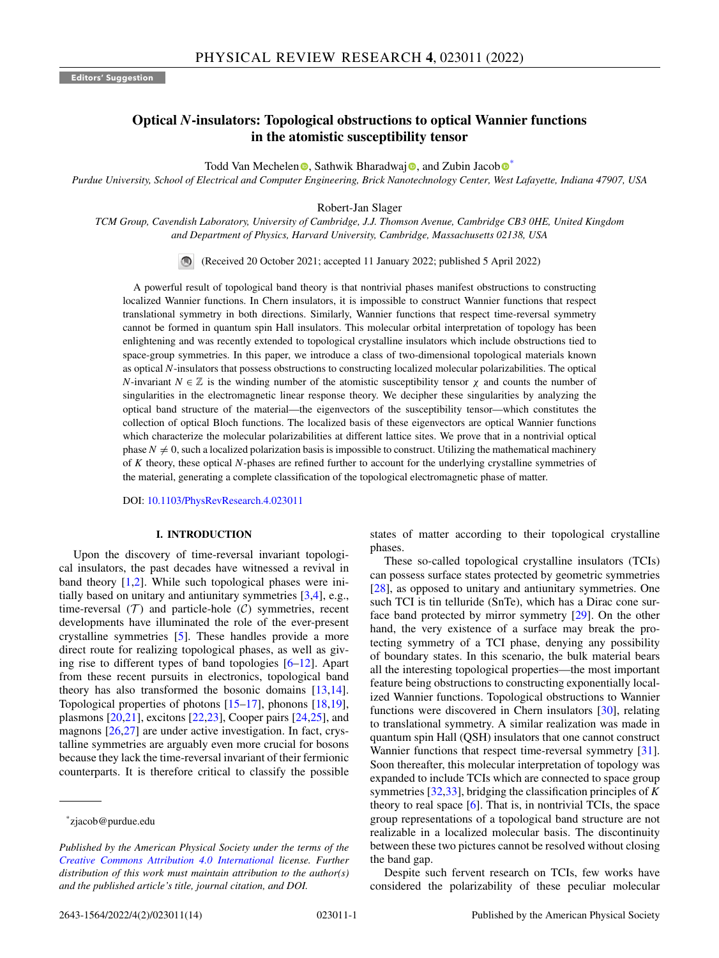# **Optical** *N***-insulators: Topological obstructions to optical Wannier functions in the atomistic susceptibility tensor**

Todd Va[n](https://orcid.org/0000-0002-1414-6065) Mechelen  $\bullet$  $\bullet$  $\bullet$ , Sathwik Bharadwa[j](https://orcid.org/0000-0001-8476-4152)  $\bullet$ , and Zubin Jacob  $\bullet^*$ 

*Purdue University, School of Electrical and Computer Engineering, Brick Nanotechnology Center, West Lafayette, Indiana 47907, USA*

Robert-Jan Slager

*TCM Group, Cavendish Laboratory, University of Cambridge, J.J. Thomson Avenue, Cambridge CB3 0HE, United Kingdom and Department of Physics, Harvard University, Cambridge, Massachusetts 02138, USA*

(Received 20 October 2021; accepted 11 January 2022; published 5 April 2022)

A powerful result of topological band theory is that nontrivial phases manifest obstructions to constructing localized Wannier functions. In Chern insulators, it is impossible to construct Wannier functions that respect translational symmetry in both directions. Similarly, Wannier functions that respect time-reversal symmetry cannot be formed in quantum spin Hall insulators. This molecular orbital interpretation of topology has been enlightening and was recently extended to topological crystalline insulators which include obstructions tied to space-group symmetries. In this paper, we introduce a class of two-dimensional topological materials known as optical *N*-insulators that possess obstructions to constructing localized molecular polarizabilities. The optical *N*-invariant  $N \in \mathbb{Z}$  is the winding number of the atomistic susceptibility tensor  $\chi$  and counts the number of singularities in the electromagnetic linear response theory. We decipher these singularities by analyzing the optical band structure of the material—the eigenvectors of the susceptibility tensor—which constitutes the collection of optical Bloch functions. The localized basis of these eigenvectors are optical Wannier functions which characterize the molecular polarizabilities at different lattice sites. We prove that in a nontrivial optical phase  $N \neq 0$ , such a localized polarization basis is impossible to construct. Utilizing the mathematical machinery of *K* theory, these optical *N*-phases are refined further to account for the underlying crystalline symmetries of the material, generating a complete classification of the topological electromagnetic phase of matter.

DOI: [10.1103/PhysRevResearch.4.023011](https://doi.org/10.1103/PhysRevResearch.4.023011)

## **I. INTRODUCTION**

Upon the discovery of time-reversal invariant topological insulators, the past decades have witnessed a revival in band theory  $[1,2]$ . While such topological phases were initially based on unitary and antiunitary symmetries [\[3,4\]](#page-11-0), e.g., time-reversal  $(T)$  and particle-hole  $(C)$  symmetries, recent developments have illuminated the role of the ever-present crystalline symmetries [\[5\]](#page-11-0). These handles provide a more direct route for realizing topological phases, as well as giving rise to different types of band topologies [\[6–12\]](#page-11-0). Apart from these recent pursuits in electronics, topological band theory has also transformed the bosonic domains [\[13,14\]](#page-11-0). Topological properties of photons [\[15–17\]](#page-11-0), phonons [\[18,19\]](#page-11-0), plasmons  $[20,21]$ , excitons  $[22,23]$ , Cooper pairs  $[24,25]$ , and magnons [\[26,27\]](#page-11-0) are under active investigation. In fact, crystalline symmetries are arguably even more crucial for bosons because they lack the time-reversal invariant of their fermionic counterparts. It is therefore critical to classify the possible states of matter according to their topological crystalline phases.

These so-called topological crystalline insulators (TCIs) can possess surface states protected by geometric symmetries [\[28\]](#page-11-0), as opposed to unitary and antiunitary symmetries. One such TCI is tin telluride (SnTe), which has a Dirac cone surface band protected by mirror symmetry [\[29\]](#page-11-0). On the other hand, the very existence of a surface may break the protecting symmetry of a TCI phase, denying any possibility of boundary states. In this scenario, the bulk material bears all the interesting topological properties—the most important feature being obstructions to constructing exponentially localized Wannier functions. Topological obstructions to Wannier functions were discovered in Chern insulators [\[30\]](#page-11-0), relating to translational symmetry. A similar realization was made in quantum spin Hall (QSH) insulators that one cannot construct Wannier functions that respect time-reversal symmetry [\[31\]](#page-11-0). Soon thereafter, this molecular interpretation of topology was expanded to include TCIs which are connected to space group symmetries [\[32,33\]](#page-11-0), bridging the classification principles of *K* theory to real space [\[6\]](#page-11-0). That is, in nontrivial TCIs, the space group representations of a topological band structure are not realizable in a localized molecular basis. The discontinuity between these two pictures cannot be resolved without closing the band gap.

Despite such fervent research on TCIs, few works have considered the polarizability of these peculiar molecular

<sup>\*</sup>zjacob@purdue.edu

*Published by the American Physical Society under the terms of the [Creative Commons Attribution 4.0 International](https://creativecommons.org/licenses/by/4.0/) license. Further distribution of this work must maintain attribution to the author(s) and the published article's title, journal citation, and DOI.*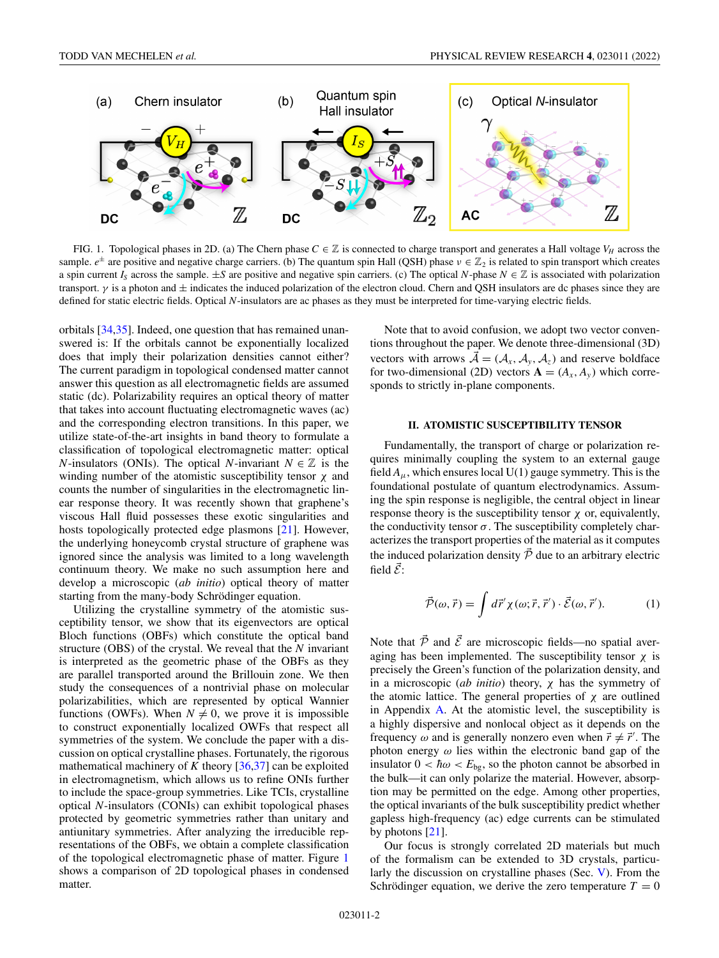<span id="page-1-0"></span>

FIG. 1. Topological phases in 2D. (a) The Chern phase  $C \in \mathbb{Z}$  is connected to charge transport and generates a Hall voltage  $V_H$  across the sample.  $e^{\pm}$  are positive and negative charge carriers. (b) The quantum spin Hall (QSH) phase  $v \in \mathbb{Z}_2$  is related to spin transport which creates a spin current  $I_S$  across the sample.  $\pm S$  are positive and negative spin carriers. (c) The optical *N*-phase  $N \in \mathbb{Z}$  is associated with polarization transport.  $\gamma$  is a photon and  $\pm$  indicates the induced polarization of the electron cloud. Chern and QSH insulators are dc phases since they are defined for static electric fields. Optical *N*-insulators are ac phases as they must be interpreted for time-varying electric fields.

orbitals [\[34](#page-11-0)[,35\]](#page-12-0). Indeed, one question that has remained unanswered is: If the orbitals cannot be exponentially localized does that imply their polarization densities cannot either? The current paradigm in topological condensed matter cannot answer this question as all electromagnetic fields are assumed static (dc). Polarizability requires an optical theory of matter that takes into account fluctuating electromagnetic waves (ac) and the corresponding electron transitions. In this paper, we utilize state-of-the-art insights in band theory to formulate a classification of topological electromagnetic matter: optical *N*-insulators (ONIs). The optical *N*-invariant  $N \in \mathbb{Z}$  is the winding number of the atomistic susceptibility tensor  $\chi$  and counts the number of singularities in the electromagnetic linear response theory. It was recently shown that graphene's viscous Hall fluid possesses these exotic singularities and hosts topologically protected edge plasmons [\[21\]](#page-11-0). However, the underlying honeycomb crystal structure of graphene was ignored since the analysis was limited to a long wavelength continuum theory. We make no such assumption here and develop a microscopic (*ab initio*) optical theory of matter starting from the many-body Schrödinger equation.

Utilizing the crystalline symmetry of the atomistic susceptibility tensor, we show that its eigenvectors are optical Bloch functions (OBFs) which constitute the optical band structure (OBS) of the crystal. We reveal that the *N* invariant is interpreted as the geometric phase of the OBFs as they are parallel transported around the Brillouin zone. We then study the consequences of a nontrivial phase on molecular polarizabilities, which are represented by optical Wannier functions (OWFs). When  $N \neq 0$ , we prove it is impossible to construct exponentially localized OWFs that respect all symmetries of the system. We conclude the paper with a discussion on optical crystalline phases. Fortunately, the rigorous mathematical machinery of  $K$  theory  $[36,37]$  can be exploited in electromagnetism, which allows us to refine ONIs further to include the space-group symmetries. Like TCIs, crystalline optical *N*-insulators (CONIs) can exhibit topological phases protected by geometric symmetries rather than unitary and antiunitary symmetries. After analyzing the irreducible representations of the OBFs, we obtain a complete classification of the topological electromagnetic phase of matter. Figure 1 shows a comparison of 2D topological phases in condensed matter.

Note that to avoid confusion, we adopt two vector conventions throughout the paper. We denote three-dimensional (3D) vectors with arrows  $\bar{\mathcal{A}} = (\mathcal{A}_x, \mathcal{A}_y, \mathcal{A}_z)$  and reserve boldface for two-dimensional (2D) vectors  $\mathbf{A} = (A_x, A_y)$  which corresponds to strictly in-plane components.

## **II. ATOMISTIC SUSCEPTIBILITY TENSOR**

Fundamentally, the transport of charge or polarization requires minimally coupling the system to an external gauge field  $A_{\mu}$ , which ensures local U(1) gauge symmetry. This is the foundational postulate of quantum electrodynamics. Assuming the spin response is negligible, the central object in linear response theory is the susceptibility tensor  $\chi$  or, equivalently, the conductivity tensor  $\sigma$ . The susceptibility completely characterizes the transport properties of the material as it computes the induced polarization density  $\vec{P}$  due to an arbitrary electric field  $\vec{\mathcal{E}}$ :

$$
\vec{\mathcal{P}}(\omega,\vec{r}) = \int d\vec{r}' \chi(\omega;\vec{r},\vec{r}') \cdot \vec{\mathcal{E}}(\omega,\vec{r}'). \tag{1}
$$

Note that  $\vec{P}$  and  $\vec{E}$  are microscopic fields—no spatial averaging has been implemented. The susceptibility tensor  $\chi$  is precisely the Green's function of the polarization density, and in a microscopic (*ab initio*) theory, χ has the symmetry of the atomic lattice. The general properties of  $\chi$  are outlined in Appendix [A.](#page-7-0) At the atomistic level, the susceptibility is a highly dispersive and nonlocal object as it depends on the frequency  $\omega$  and is generally nonzero even when  $\vec{r} \neq \vec{r}'$ . The photon energy  $\omega$  lies within the electronic band gap of the insulator  $0 < \hbar \omega < E_{\text{bg}}$ , so the photon cannot be absorbed in the bulk—it can only polarize the material. However, absorption may be permitted on the edge. Among other properties, the optical invariants of the bulk susceptibility predict whether gapless high-frequency (ac) edge currents can be stimulated by photons [\[21\]](#page-11-0).

Our focus is strongly correlated 2D materials but much of the formalism can be extended to 3D crystals, particularly the discussion on crystalline phases (Sec. [V\)](#page-4-0). From the Schrödinger equation, we derive the zero temperature  $T = 0$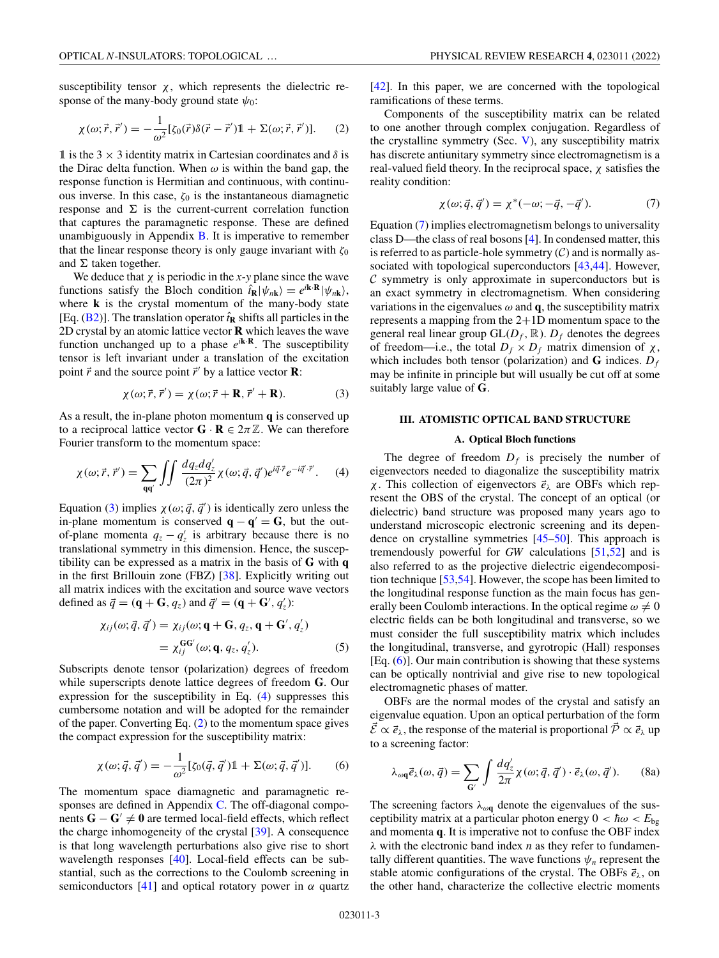<span id="page-2-0"></span>susceptibility tensor  $\chi$ , which represents the dielectric response of the many-body ground state  $\psi_0$ :

$$
\chi(\omega;\vec{r},\vec{r}') = -\frac{1}{\omega^2} [\zeta_0(\vec{r})\delta(\vec{r}-\vec{r}')\mathbb{1} + \Sigma(\omega;\vec{r},\vec{r}')] . \tag{2}
$$

1 is the 3  $\times$  3 identity matrix in Cartesian coordinates and  $\delta$  is the Dirac delta function. When  $\omega$  is within the band gap, the response function is Hermitian and continuous, with continuous inverse. In this case,  $ζ<sub>0</sub>$  is the instantaneous diamagnetic response and  $\Sigma$  is the current-current correlation function that captures the paramagnetic response. These are defined unambiguously in Appendix [B.](#page-7-0) It is imperative to remember that the linear response theory is only gauge invariant with  $\zeta_0$ and  $\Sigma$  taken together.

We deduce that  $\chi$  is periodic in the *x*- $\gamma$  plane since the wave functions satisfy the Bloch condition  $\hat{t}_R |\psi_{nk}\rangle = e^{i\mathbf{k} \cdot \mathbf{R}} |\psi_{nk}\rangle$ , where **k** is the crystal momentum of the many-body state [Eq.  $(B2)$ ]. The translation operator  $\hat{t}_R$  shifts all particles in the 2D crystal by an atomic lattice vector **R** which leaves the wave function unchanged up to a phase  $e^{i\mathbf{k} \cdot \mathbf{R}}$ . The susceptibility tensor is left invariant under a translation of the excitation point  $\vec{r}$  and the source point  $\vec{r}'$  by a lattice vector **R**:

$$
\chi(\omega; \vec{r}, \vec{r}') = \chi(\omega; \vec{r} + \mathbf{R}, \vec{r}' + \mathbf{R}).
$$
 (3)

As a result, the in-plane photon momentum **q** is conserved up to a reciprocal lattice vector  $\mathbf{G} \cdot \mathbf{R} \in 2\pi \mathbb{Z}$ . We can therefore Fourier transform to the momentum space:

$$
\chi(\omega; \vec{r}, \vec{r}') = \sum_{qq'} \int \int \frac{dq_z dq'_z}{(2\pi)^2} \chi(\omega; \vec{q}, \vec{q}') e^{i\vec{q}\cdot\vec{r}} e^{-i\vec{q}'\cdot\vec{r}}.
$$
 (4)

Equation (3) implies  $\chi(\omega; \vec{q}, \vec{q}')$  is identically zero unless the in-plane momentum is conserved  $\mathbf{q} - \mathbf{q}' = \mathbf{G}$ , but the outof-plane momenta  $q_z - q'_z$  is arbitrary because there is no translational symmetry in this dimension. Hence, the susceptibility can be expressed as a matrix in the basis of **G** with **q** in the first Brillouin zone (FBZ) [\[38\]](#page-12-0). Explicitly writing out all matrix indices with the excitation and source wave vectors defined as  $\vec{q} = (\mathbf{q} + \mathbf{G}, q_z)$  and  $\vec{q}' = (\mathbf{q} + \mathbf{G}', q'_z)$ :

$$
\chi_{ij}(\omega; \vec{q}, \vec{q}') = \chi_{ij}(\omega; \mathbf{q} + \mathbf{G}, q_z, \mathbf{q} + \mathbf{G}', q'_z) \n= \chi_{ij}^{\mathbf{G}\mathbf{G}'}(\omega; \mathbf{q}, q_z, q'_z).
$$
\n(5)

Subscripts denote tensor (polarization) degrees of freedom while superscripts denote lattice degrees of freedom **G**. Our expression for the susceptibility in Eq. (4) suppresses this cumbersome notation and will be adopted for the remainder of the paper. Converting Eq. (2) to the momentum space gives the compact expression for the susceptibility matrix:

$$
\chi(\omega; \vec{q}, \vec{q}') = -\frac{1}{\omega^2} [\zeta_0(\vec{q}, \vec{q}') \mathbb{1} + \Sigma(\omega; \vec{q}, \vec{q}')] . \tag{6}
$$

The momentum space diamagnetic and paramagnetic responses are defined in Appendix [C.](#page-8-0) The off-diagonal components  $G - G' \neq 0$  are termed local-field effects, which reflect the charge inhomogeneity of the crystal [\[39\]](#page-12-0). A consequence is that long wavelength perturbations also give rise to short wavelength responses [\[40\]](#page-12-0). Local-field effects can be substantial, such as the corrections to the Coulomb screening in semiconductors [\[41\]](#page-12-0) and optical rotatory power in  $\alpha$  quartz [\[42\]](#page-12-0). In this paper, we are concerned with the topological ramifications of these terms.

Components of the susceptibility matrix can be related to one another through complex conjugation. Regardless of the crystalline symmetry (Sec. [V\)](#page-4-0), any susceptibility matrix has discrete antiunitary symmetry since electromagnetism is a real-valued field theory. In the reciprocal space,  $\chi$  satisfies the reality condition:

$$
\chi(\omega; \vec{q}, \vec{q}') = \chi^*(-\omega; -\vec{q}, -\vec{q}'). \tag{7}
$$

Equation (7) implies electromagnetism belongs to universality class D—the class of real bosons [\[4\]](#page-11-0). In condensed matter, this is referred to as particle-hole symmetry  $(C)$  and is normally as-sociated with topological superconductors [\[43,44\]](#page-12-0). However,  $C$  symmetry is only approximate in superconductors but is an exact symmetry in electromagnetism. When considering variations in the eigenvalues  $\omega$  and **q**, the susceptibility matrix represents a mapping from the 2+1D momentum space to the general real linear group  $GL(D_f, \mathbb{R})$ .  $D_f$  denotes the degrees of freedom—i.e., the total  $D_f \times D_f$  matrix dimension of χ, which includes both tensor (polarization) and **G** indices.  $D_f$ may be infinite in principle but will usually be cut off at some suitably large value of **G**.

## **III. ATOMISTIC OPTICAL BAND STRUCTURE**

## **A. Optical Bloch functions**

The degree of freedom  $D_f$  is precisely the number of eigenvectors needed to diagonalize the susceptibility matrix χ. This collection of eigenvectors *e* <sup>λ</sup> are OBFs which represent the OBS of the crystal. The concept of an optical (or dielectric) band structure was proposed many years ago to understand microscopic electronic screening and its dependence on crystalline symmetries [\[45–50\]](#page-12-0). This approach is tremendously powerful for *GW* calculations [\[51,52\]](#page-12-0) and is also referred to as the projective dielectric eigendecomposition technique [\[53,54\]](#page-12-0). However, the scope has been limited to the longitudinal response function as the main focus has generally been Coulomb interactions. In the optical regime  $\omega \neq 0$ electric fields can be both longitudinal and transverse, so we must consider the full susceptibility matrix which includes the longitudinal, transverse, and gyrotropic (Hall) responses  $[Eq. (6)]$ . Our main contribution is showing that these systems can be optically nontrivial and give rise to new topological electromagnetic phases of matter.

OBFs are the normal modes of the crystal and satisfy an eigenvalue equation. Upon an optical perturbation of the form  $\vec{\mathcal{E}} \propto \vec{e}_{\lambda}$ , the response of the material is proportional  $\vec{\mathcal{P}} \propto \vec{e}_{\lambda}$  up to a screening factor:

$$
\lambda_{\omega \mathbf{q}} \vec{e}_{\lambda}(\omega, \vec{q}) = \sum_{\mathbf{G}'} \int \frac{dq'_z}{2\pi} \chi(\omega; \vec{q}, \vec{q}') \cdot \vec{e}_{\lambda}(\omega, \vec{q}'). \tag{8a}
$$

The screening factors  $\lambda_{\omega q}$  denote the eigenvalues of the susceptibility matrix at a particular photon energy  $0 < \hbar \omega < E_{\text{bg}}$ and momenta **q**. It is imperative not to confuse the OBF index λ with the electronic band index *n* as they refer to fundamentally different quantities. The wave functions  $\psi_n$  represent the stable atomic configurations of the crystal. The OBFs  $\vec{e}_{\lambda}$ , on the other hand, characterize the collective electric moments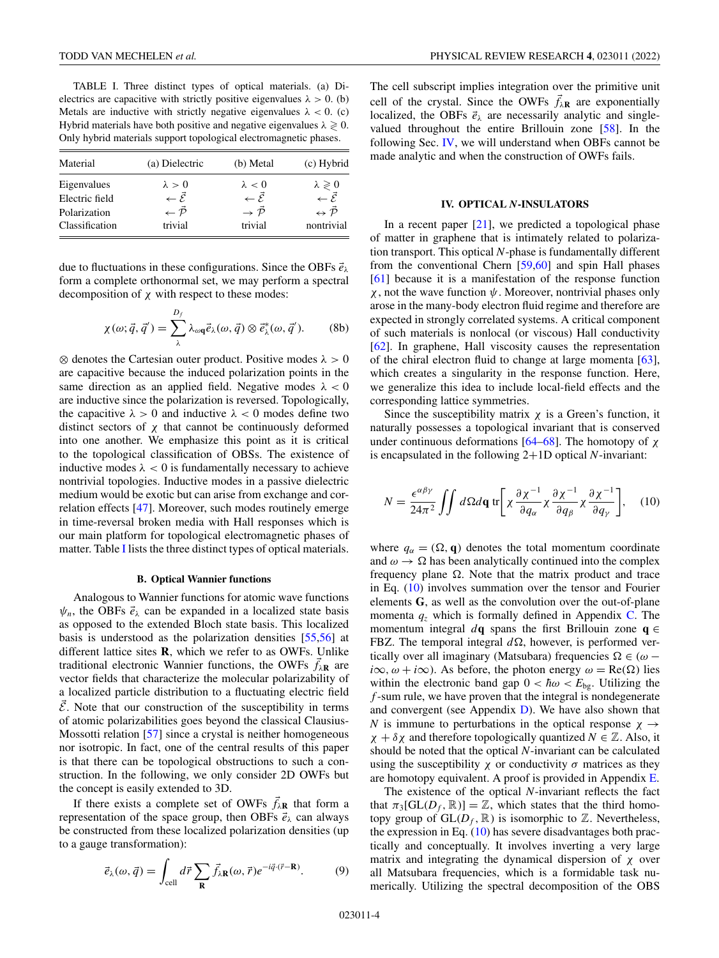<span id="page-3-0"></span>TABLE I. Three distinct types of optical materials. (a) Dielectrics are capacitive with strictly positive eigenvalues  $\lambda > 0$ . (b) Metals are inductive with strictly negative eigenvalues  $\lambda < 0$ . (c) Hybrid materials have both positive and negative eigenvalues  $\lambda \geq 0$ . Only hybrid materials support topological electromagnetic phases.

| Material       | (a) Dielectric                 | (b) Metal                       | (c) Hybrid                          |
|----------------|--------------------------------|---------------------------------|-------------------------------------|
| Eigenvalues    | $\lambda > 0$                  | $\lambda < 0$                   | $\lambda \geqslant 0$               |
| Electric field | $\leftarrow \vec{\mathcal{E}}$ | $\leftarrow \vec{\mathcal{E}}$  | $\leftarrow \vec{\mathcal{E}}$      |
| Polarization   | $\leftarrow \vec{\mathcal{P}}$ | $\rightarrow \bar{\mathcal{P}}$ | $\Leftrightarrow \vec{\mathcal{P}}$ |
| Classification | trivial                        | trivial                         | nontrivial                          |

due to fluctuations in these configurations. Since the OBFs *e* λ form a complete orthonormal set, we may perform a spectral decomposition of  $\chi$  with respect to these modes:

$$
\chi(\omega; \vec{q}, \vec{q}') = \sum_{\lambda}^{D_f} \lambda_{\omega q} \vec{e}_{\lambda}(\omega, \vec{q}) \otimes \vec{e}_{\lambda}^*(\omega, \vec{q}'). \qquad (8b)
$$

 $\otimes$  denotes the Cartesian outer product. Positive modes  $\lambda > 0$ are capacitive because the induced polarization points in the same direction as an applied field. Negative modes  $\lambda < 0$ are inductive since the polarization is reversed. Topologically, the capacitive  $\lambda > 0$  and inductive  $\lambda < 0$  modes define two distinct sectors of  $\chi$  that cannot be continuously deformed into one another. We emphasize this point as it is critical to the topological classification of OBSs. The existence of inductive modes  $\lambda < 0$  is fundamentally necessary to achieve nontrivial topologies. Inductive modes in a passive dielectric medium would be exotic but can arise from exchange and correlation effects [\[47\]](#page-12-0). Moreover, such modes routinely emerge in time-reversal broken media with Hall responses which is our main platform for topological electromagnetic phases of matter. Table I lists the three distinct types of optical materials.

#### **B. Optical Wannier functions**

Analogous to Wannier functions for atomic wave functions  $\psi_n$ , the OBFs  $\vec{e}_{\lambda}$  can be expanded in a localized state basis as opposed to the extended Bloch state basis. This localized basis is understood as the polarization densities [\[55,56\]](#page-12-0) at different lattice sites **R**, which we refer to as OWFs. Unlike traditional electronic Wannier functions, the OWFs  $\vec{f}_{\lambda \mathbf{R}}$  are vector fields that characterize the molecular polarizability of a localized particle distribution to a fluctuating electric field  $\bar{\mathcal{E}}$ . Note that our construction of the susceptibility in terms of atomic polarizabilities goes beyond the classical Clausius-Mossotti relation [\[57\]](#page-12-0) since a crystal is neither homogeneous nor isotropic. In fact, one of the central results of this paper is that there can be topological obstructions to such a construction. In the following, we only consider 2D OWFs but the concept is easily extended to 3D.

If there exists a complete set of OWFs  $\vec{f}_{\lambda R}$  that form a representation of the space group, then OBFs *e* <sup>λ</sup> can always be constructed from these localized polarization densities (up to a gauge transformation):

$$
\vec{e}_{\lambda}(\omega, \vec{q}) = \int_{\text{cell}} d\vec{r} \sum_{\mathbf{R}} \vec{f}_{\lambda \mathbf{R}}(\omega, \vec{r}) e^{-i\vec{q} \cdot (\vec{r} - \mathbf{R})}.
$$
 (9)

The cell subscript implies integration over the primitive unit cell of the crystal. Since the OWFs  $\vec{f}_{\lambda \mathbf{R}}$  are exponentially localized, the OBFs  $\vec{e}_{\lambda}$  are necessarily analytic and singlevalued throughout the entire Brillouin zone [\[58\]](#page-12-0). In the following Sec. IV, we will understand when OBFs cannot be made analytic and when the construction of OWFs fails.

#### **IV. OPTICAL** *N***-INSULATORS**

In a recent paper  $[21]$ , we predicted a topological phase of matter in graphene that is intimately related to polarization transport. This optical *N*-phase is fundamentally different from the conventional Chern [\[59,60\]](#page-12-0) and spin Hall phases [\[61\]](#page-12-0) because it is a manifestation of the response function  $\chi$ , not the wave function  $\psi$ . Moreover, nontrivial phases only arose in the many-body electron fluid regime and therefore are expected in strongly correlated systems. A critical component of such materials is nonlocal (or viscous) Hall conductivity [\[62\]](#page-12-0). In graphene, Hall viscosity causes the representation of the chiral electron fluid to change at large momenta [\[63\]](#page-12-0), which creates a singularity in the response function. Here, we generalize this idea to include local-field effects and the corresponding lattice symmetries.

Since the susceptibility matrix  $\chi$  is a Green's function, it naturally possesses a topological invariant that is conserved under continuous deformations [\[64–68\]](#page-12-0). The homotopy of  $\chi$ is encapsulated in the following 2+1D optical *N*-invariant:

$$
N = \frac{\epsilon^{\alpha\beta\gamma}}{24\pi^2} \iint d\Omega d\mathbf{q} \,\mathrm{tr} \bigg[ \chi \frac{\partial \chi^{-1}}{\partial q_\alpha} \chi \frac{\partial \chi^{-1}}{\partial q_\beta} \chi \frac{\partial \chi^{-1}}{\partial q_\gamma} \bigg], \quad (10)
$$

where  $q_{\alpha} = (\Omega, \mathbf{q})$  denotes the total momentum coordinate and  $\omega \rightarrow \Omega$  has been analytically continued into the complex frequency plane  $\Omega$ . Note that the matrix product and trace in Eq. (10) involves summation over the tensor and Fourier elements **G**, as well as the convolution over the out-of-plane momenta  $q_z$  which is formally defined in Appendix [C.](#page-8-0) The momentum integral  $d\mathbf{q}$  spans the first Brillouin zone  $\mathbf{q} \in$ FBZ. The temporal integral  $d\Omega$ , however, is performed vertically over all imaginary (Matsubara) frequencies  $\Omega \in (\omega$  $i\infty, \omega + i\infty$ ). As before, the photon energy  $\omega = \text{Re}(\Omega)$  lies within the electronic band gap  $0 < \hbar \omega < E_{\text{bg}}$ . Utilizing the *f* -sum rule, we have proven that the integral is nondegenerate and convergent (see Appendix [D\)](#page-9-0). We have also shown that *N* is immune to perturbations in the optical response  $\chi \rightarrow$  $\chi + \delta \chi$  and therefore topologically quantized  $N \in \mathbb{Z}$ . Also, it should be noted that the optical *N*-invariant can be calculated using the susceptibility  $\chi$  or conductivity  $\sigma$  matrices as they are homotopy equivalent. A proof is provided in Appendix [E.](#page-10-0)

The existence of the optical *N*-invariant reflects the fact that  $\pi_3[\text{GL}(D_f, \mathbb{R})] = \mathbb{Z}$ , which states that the third homotopy group of  $GL(D_f, \mathbb{R})$  is isomorphic to  $\mathbb{Z}$ . Nevertheless, the expression in Eq.  $(10)$  has severe disadvantages both practically and conceptually. It involves inverting a very large matrix and integrating the dynamical dispersion of  $\chi$  over all Matsubara frequencies, which is a formidable task numerically. Utilizing the spectral decomposition of the OBS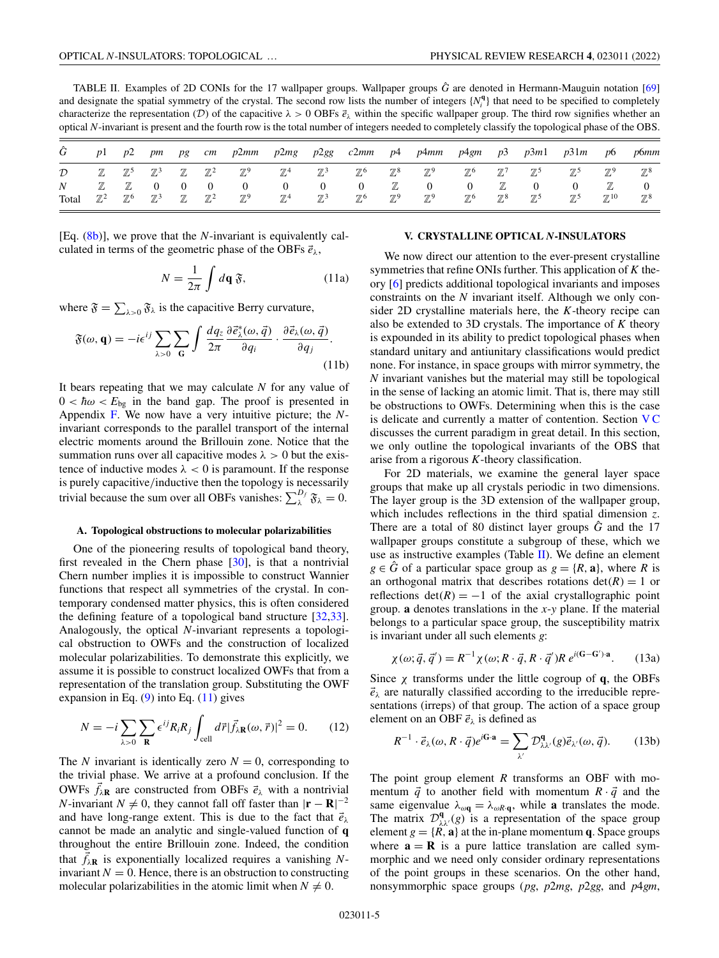<span id="page-4-0"></span>TABLE II. Examples of 2D CONIs for the 17 wallpaper groups. Wallpaper groups  $\hat{G}$  are denoted in Hermann-Mauguin notation [\[69\]](#page-12-0) and designate the spatial symmetry of the crystal. The second row lists the number of integers  $\{N_i^q\}$  that need to be specified to completely characterize the representation (D) of the capacitive  $\lambda > 0$  OBFs  $\vec{e}_{\lambda}$  within the specific wallpaper group. The third row signifies whether an optical *N*-invariant is present and the fourth row is the total number of integers needed to completely classify the topological phase of the OBS.

|                           | p1             | p2                             | pm                               | pg                             | cm                          | p2mm                             | p2mg                             |                | $p2gg$ $c2mm$ $p4$         |                | p4mm                           |                |                | $p4gm$ $p3$ $p3m1$         | p31m           | p6                | p6mm                             |
|---------------------------|----------------|--------------------------------|----------------------------------|--------------------------------|-----------------------------|----------------------------------|----------------------------------|----------------|----------------------------|----------------|--------------------------------|----------------|----------------|----------------------------|----------------|-------------------|----------------------------------|
| $\mathcal{D}$             | $\mathbb Z$    | $\mathbb{Z}^5$ $\mathbb{Z}^3$  |                                  |                                | $\mathbb{Z}$ $\mathbb{Z}^2$ | $\mathbb{Z}^9$                   | $\mathbb{Z}^4$                   | $\mathbb{Z}^3$ | $\mathbb{Z}^6$             | $\mathbb{Z}^8$ | $\mathbb{Z}^9$                 | $\mathbb{Z}^6$ | $\mathbb{Z}^7$ | $\mathbb{Z}^5$             | $\mathbb{Z}^5$ | $\mathbb{Z}^9$    | $\mathbb{Z}^8$                   |
| $\boldsymbol{N}$<br>Total | $\mathbb{Z}^2$ | $\mathbb{Z}$<br>$\mathbb{Z}^6$ | $\overline{0}$<br>$\mathbb{Z}^3$ | $\overline{0}$<br>$\mathbb{Z}$ | $\mathbb{Z}^2$              | $\overline{0}$<br>$\mathbb{Z}^9$ | $\overline{0}$<br>$\mathbb{Z}^4$ | $\mathbb{Z}^3$ | $\theta$<br>$\mathbb{Z}^6$ | $\mathbb{Z}^9$ | $\mathbf{0}$<br>$\mathbb{Z}^9$ | $\mathbb{Z}^6$ | $\mathbb{Z}^8$ | $\theta$<br>$\mathbb{Z}^5$ | $\mathbb{Z}^5$ | $\mathbb{Z}^{10}$ | $\overline{0}$<br>$\mathbb{Z}^8$ |

[Eq. [\(8b\)](#page-3-0)], we prove that the *N*-invariant is equivalently calculated in terms of the geometric phase of the OBFs  $\vec{e}_{\lambda}$ ,

$$
N = \frac{1}{2\pi} \int d\mathbf{q} \,\mathfrak{F},\qquad(11a)
$$

where  $\mathfrak{F} = \sum_{\lambda > 0} \mathfrak{F}_{\lambda}$  is the capacitive Berry curvature,

$$
\mathfrak{F}(\omega, \mathbf{q}) = -i\epsilon^{ij} \sum_{\lambda>0} \sum_{\mathbf{G}} \int \frac{dq_z}{2\pi} \frac{\partial \vec{\epsilon}_{\lambda}^*(\omega, \vec{q})}{\partial q_i} \cdot \frac{\partial \vec{\epsilon}_{\lambda}(\omega, \vec{q})}{\partial q_j}.
$$
\n(11b)

It bears repeating that we may calculate *N* for any value of  $0 < \hbar \omega < E_{\text{bg}}$  in the band gap. The proof is presented in Appendix [F.](#page-10-0) We now have a very intuitive picture; the *N*invariant corresponds to the parallel transport of the internal electric moments around the Brillouin zone. Notice that the summation runs over all capacitive modes  $\lambda > 0$  but the existence of inductive modes  $\lambda < 0$  is paramount. If the response is purely capacitive/inductive then the topology is necessarily trivial because the sum over all OBFs vanishes:  $\sum_{\lambda}^{D_f} \mathfrak{F}_{\lambda} = 0$ .

#### **A. Topological obstructions to molecular polarizabilities**

One of the pioneering results of topological band theory, first revealed in the Chern phase [\[30\]](#page-11-0), is that a nontrivial Chern number implies it is impossible to construct Wannier functions that respect all symmetries of the crystal. In contemporary condensed matter physics, this is often considered the defining feature of a topological band structure [\[32,33\]](#page-11-0). Analogously, the optical *N*-invariant represents a topological obstruction to OWFs and the construction of localized molecular polarizabilities. To demonstrate this explicitly, we assume it is possible to construct localized OWFs that from a representation of the translation group. Substituting the OWF expansion in Eq.  $(9)$  into Eq.  $(11)$  gives

$$
N = -i \sum_{\lambda > 0} \sum_{\mathbf{R}} \epsilon^{ij} R_i R_j \int_{\text{cell}} d\vec{r} |\vec{f}_{\lambda \mathbf{R}}(\omega, \vec{r})|^2 = 0.
$$
 (12)

The *N* invariant is identically zero  $N = 0$ , corresponding to the trivial phase. We arrive at a profound conclusion. If the OWFs  $\vec{f}_{\lambda \mathbf{R}}$  are constructed from OBFs  $\vec{e}_{\lambda}$  with a nontrivial *N*-invariant *N*  $\neq$  0, they cannot fall off faster than  $|\mathbf{r} - \mathbf{R}|^{-2}$ and have long-range extent. This is due to the fact that  $\vec{e}_{\lambda}$ cannot be made an analytic and single-valued function of **q** throughout the entire Brillouin zone. Indeed, the condition that  $\vec{f}_{\lambda \mathbf{R}}$  is exponentially localized requires a vanishing *N*invariant  $N = 0$ . Hence, there is an obstruction to constructing molecular polarizabilities in the atomic limit when  $N \neq 0$ .

### **V. CRYSTALLINE OPTICAL** *N***-INSULATORS**

We now direct our attention to the ever-present crystalline symmetries that refine ONIs further. This application of *K* theory [\[6\]](#page-11-0) predicts additional topological invariants and imposes constraints on the *N* invariant itself. Although we only consider 2D crystalline materials here, the *K*-theory recipe can also be extended to 3D crystals. The importance of *K* theory is expounded in its ability to predict topological phases when standard unitary and antiunitary classifications would predict none. For instance, in space groups with mirror symmetry, the *N* invariant vanishes but the material may still be topological in the sense of lacking an atomic limit. That is, there may still be obstructions to OWFs. Determining when this is the case is delicate and currently a matter of contention. Section  $VC$ discusses the current paradigm in great detail. In this section, we only outline the topological invariants of the OBS that arise from a rigorous *K*-theory classification.

For 2D materials, we examine the general layer space groups that make up all crystals periodic in two dimensions. The layer group is the 3D extension of the wallpaper group, which includes reflections in the third spatial dimension *z*. There are a total of 80 distinct layer groups  $\hat{G}$  and the 17 wallpaper groups constitute a subgroup of these, which we use as instructive examples (Table II). We define an element  $g \in \hat{G}$  of a particular space group as  $g = \{R, \mathbf{a}\}\)$ , where *R* is an orthogonal matrix that describes rotations  $det(R) = 1$  or reflections  $det(R) = -1$  of the axial crystallographic point group. **a** denotes translations in the *x*-*y* plane. If the material belongs to a particular space group, the susceptibility matrix is invariant under all such elements *g*:

$$
\chi(\omega; \vec{q}, \vec{q}') = R^{-1} \chi(\omega; R \cdot \vec{q}, R \cdot \vec{q}') R e^{i(\mathbf{G} - \mathbf{G}') \cdot \mathbf{a}}.
$$
 (13a)

Since  $\chi$  transforms under the little cogroup of **q**, the OBFs  $\vec{e}_{\lambda}$  are naturally classified according to the irreducible representations (irreps) of that group. The action of a space group element on an OBF  $\vec{e}_{\lambda}$  is defined as

$$
R^{-1} \cdot \vec{e}_{\lambda}(\omega, R \cdot \vec{q}) e^{i\mathbf{G} \cdot \mathbf{a}} = \sum_{\lambda'} \mathcal{D}^{\mathbf{q}}_{\lambda \lambda'}(g) \vec{e}_{\lambda'}(\omega, \vec{q}). \tag{13b}
$$

The point group element *R* transforms an OBF with momentum  $\vec{q}$  to another field with momentum  $R \cdot \vec{q}$  and the same eigenvalue  $\lambda_{\omega q} = \lambda_{\omega R \cdot q}$ , while **a** translates the mode. The matrix  $\mathcal{D}_{\lambda\lambda}^{\mathbf{q}}(g)$  is a representation of the space group element  $g = \{R, a\}$  at the in-plane momentum **q**. Space groups where  $\mathbf{a} = \mathbf{R}$  is a pure lattice translation are called symmorphic and we need only consider ordinary representations of the point groups in these scenarios. On the other hand, nonsymmorphic space groups (*pg*, *p*2*mg*, *p*2*gg*, and *p*4*gm*,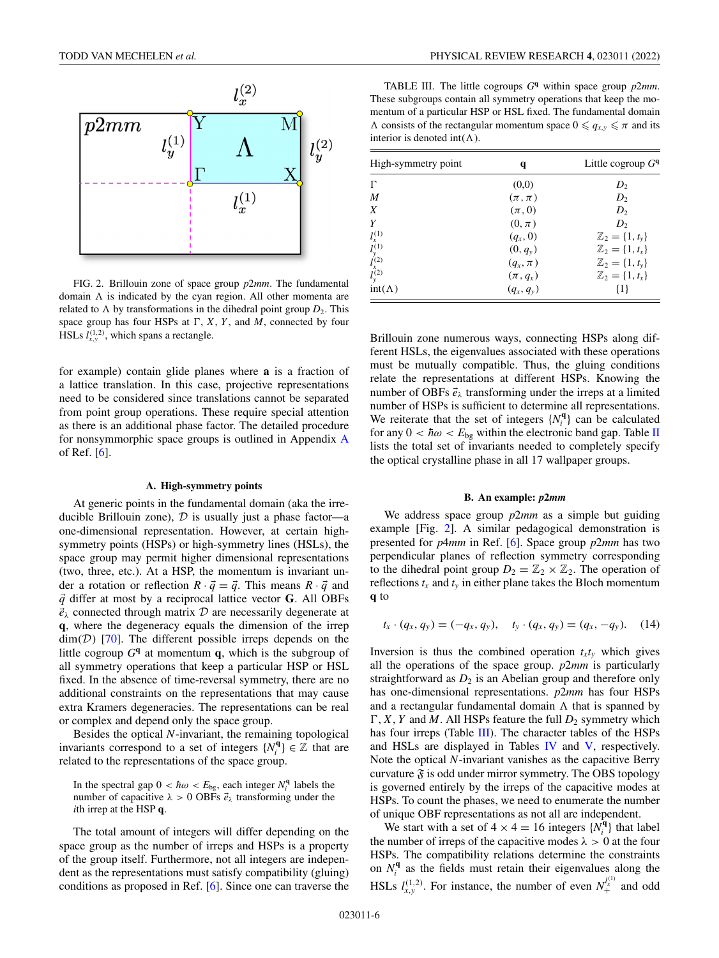

FIG. 2. Brillouin zone of space group *p*2*mm*. The fundamental domain  $\Lambda$  is indicated by the cyan region. All other momenta are related to  $\Lambda$  by transformations in the dihedral point group  $D_2$ . This space group has four HSPs at  $\Gamma$ , *X*, *Y*, and *M*, connected by four HSLs  $l_{x,y}^{(1,2)}$ , which spans a rectangle.

for example) contain glide planes where **a** is a fraction of a lattice translation. In this case, projective representations need to be considered since translations cannot be separated from point group operations. These require special attention as there is an additional phase factor. The detailed procedure for nonsymmorphic space groups is outlined in Appendix [A](#page-7-0) of Ref. [\[6\]](#page-11-0).

### **A. High-symmetry points**

At generic points in the fundamental domain (aka the irreducible Brillouin zone),  $D$  is usually just a phase factor—a one-dimensional representation. However, at certain highsymmetry points (HSPs) or high-symmetry lines (HSLs), the space group may permit higher dimensional representations (two, three, etc.). At a HSP, the momentum is invariant under a rotation or reflection  $R \cdot \vec{q} = \vec{q}$ . This means  $R \cdot \vec{q}$  and *q* differ at most by a reciprocal lattice vector **G**. All OBFs  $\vec{e}_{\lambda}$  connected through matrix  $\mathcal{D}$  are necessarily degenerate at **q**, where the degeneracy equals the dimension of the irrep  $dim(\mathcal{D})$  [\[70\]](#page-12-0). The different possible irreps depends on the little cogroup  $G<sup>q</sup>$  at momentum **q**, which is the subgroup of all symmetry operations that keep a particular HSP or HSL fixed. In the absence of time-reversal symmetry, there are no additional constraints on the representations that may cause extra Kramers degeneracies. The representations can be real or complex and depend only the space group.

Besides the optical *N*-invariant, the remaining topological invariants correspond to a set of integers  $\{N_i^q\} \in \mathbb{Z}$  that are related to the representations of the space group.

In the spectral gap  $0 < \hbar \omega < E_{bg}$ , each integer  $N_i^q$  labels the number of capacitive  $\lambda > 0$  OBFs  $\vec{e}_{\lambda}$  transforming under the *i*th irrep at the HSP **q**.

The total amount of integers will differ depending on the space group as the number of irreps and HSPs is a property of the group itself. Furthermore, not all integers are independent as the representations must satisfy compatibility (gluing) conditions as proposed in Ref. [\[6\]](#page-11-0). Since one can traverse the

TABLE III. The little cogroups  $G<sup>q</sup>$  within space group  $p2mm$ . These subgroups contain all symmetry operations that keep the momentum of a particular HSP or HSL fixed. The fundamental domain  $\Lambda$  consists of the rectangular momentum space  $0 \le q_{x,y} \le \pi$  and its interior is denoted int( $\Lambda$ ).

| High-symmetry point                                              | q            | Little cogroup $Gq$              |
|------------------------------------------------------------------|--------------|----------------------------------|
| Г                                                                | (0,0)        | $D_2$                            |
| M                                                                | $(\pi,\pi)$  | $D_2$                            |
| X                                                                | $(\pi,0)$    | D <sub>2</sub>                   |
| Y                                                                | $(0,\pi)$    | D <sub>2</sub>                   |
|                                                                  | $(q_x, 0)$   | $\mathbb{Z}_2 = \{1, t_{\nu}\}\$ |
|                                                                  | $(0, q_y)$   | $\mathbb{Z}_2 = \{1, t_x\}$      |
|                                                                  | $(q_x, \pi)$ | $\mathbb{Z}_2 = \{1, t_{y}\}\$   |
| $l_{x}^{(1)}$<br>$l_{y}^{(1)}$<br>$l_{x}^{(2)}$<br>$l_{y}^{(2)}$ | $(\pi, q_x)$ | $\mathbb{Z}_2 = \{1, t_x\}$      |
| $int(\Lambda)$                                                   | $(q_x, q_y)$ | $\{1\}$                          |

Brillouin zone numerous ways, connecting HSPs along different HSLs, the eigenvalues associated with these operations must be mutually compatible. Thus, the gluing conditions relate the representations at different HSPs. Knowing the number of OBFs  $\vec{e}_{\lambda}$  transforming under the irreps at a limited number of HSPs is sufficient to determine all representations. We reiterate that the set of integers  $\{N_i^q\}$  can be calculated for any  $0 < \hbar \omega < E_{\text{bg}}$  within the electronic band gap. Table [II](#page-4-0) lists the total set of invariants needed to completely specify the optical crystalline phase in all 17 wallpaper groups.

#### **B. An example:** *p***2***mm*

We address space group *p*2*mm* as a simple but guiding example [Fig. 2]. A similar pedagogical demonstration is presented for *p*4*mm* in Ref. [\[6\]](#page-11-0). Space group *p*2*mm* has two perpendicular planes of reflection symmetry corresponding to the dihedral point group  $D_2 = \mathbb{Z}_2 \times \mathbb{Z}_2$ . The operation of reflections  $t_x$  and  $t_y$  in either plane takes the Bloch momentum **q** to

$$
t_x \cdot (q_x, q_y) = (-q_x, q_y), \quad t_y \cdot (q_x, q_y) = (q_x, -q_y). \tag{14}
$$

Inversion is thus the combined operation  $t_x t_y$  which gives all the operations of the space group. *p*2*mm* is particularly straightforward as  $D_2$  is an Abelian group and therefore only has one-dimensional representations. *p*2*mm* has four HSPs and a rectangular fundamental domain  $\Lambda$  that is spanned by  $\Gamma$ , *X*, *Y* and *M*. All HSPs feature the full  $D_2$  symmetry which has four irreps (Table III). The character tables of the HSPs and HSLs are displayed in Tables [IV](#page-6-0) and [V,](#page-6-0) respectively. Note the optical *N*-invariant vanishes as the capacitive Berry curvature  $\mathfrak F$  is odd under mirror symmetry. The OBS topology is governed entirely by the irreps of the capacitive modes at HSPs. To count the phases, we need to enumerate the number of unique OBF representations as not all are independent.

We start with a set of  $4 \times 4 = 16$  integers  $\{N_i^{\mathbf{q}}\}$  that label the number of irreps of the capacitive modes  $\lambda > 0$  at the four HSPs. The compatibility relations determine the constraints on  $N_i^q$  as the fields must retain their eigenvalues along the HSLs  $l_{x,y}^{(1,2)}$ . For instance, the number of even  $N_{+}^{l_{x}^{(1)}}$  and odd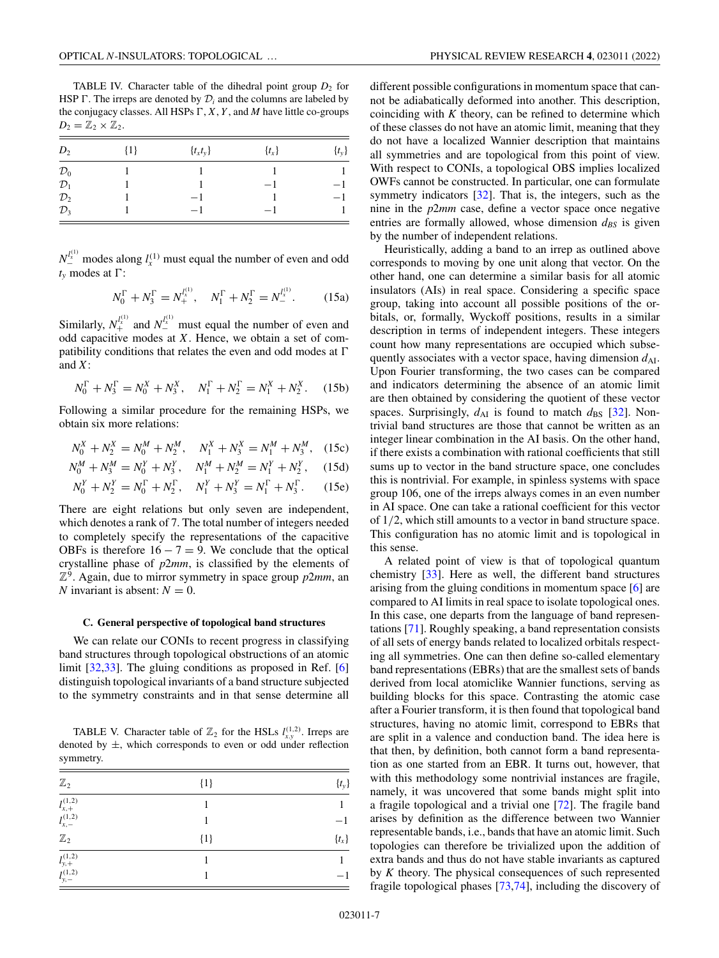<span id="page-6-0"></span>TABLE IV. Character table of the dihedral point group  $D_2$  for HSP  $\Gamma$ . The irreps are denoted by  $\mathcal{D}_i$  and the columns are labeled by the conjugacy classes. All HSPs  $\Gamma$ ,  $X$ ,  $Y$ , and  $M$  have little co-groups  $D_2 = \mathbb{Z}_2 \times \mathbb{Z}_2$ .

| $D_2$           | $\{1\}$ | $\{t_x t_y\}$ | $\{t_x\}$ | $\{t_y\}$ |
|-----------------|---------|---------------|-----------|-----------|
| $\mathcal{D}_0$ |         |               |           |           |
| $\mathcal{D}_1$ |         |               | $-1$      | -1        |
| $\mathcal{D}_2$ |         | $-1$          |           | $-1$      |
| $\mathcal{D}_3$ |         | $-1$          | $-1$      |           |

 $N_{\perp}^{l_{\lambda}^{(1)}}$  modes along  $l_{x}^{(1)}$  must equal the number of even and odd  $t<sub>v</sub>$  modes at  $\Gamma$ :

$$
N_0^{\Gamma} + N_3^{\Gamma} = N_+^{I_x^{(1)}}, \quad N_1^{\Gamma} + N_2^{\Gamma} = N_-^{I_x^{(1)}}.
$$
 (15a)

Similarly,  $N_{+}^{l_x^{(1)}}$  and  $N_{-}^{l_x^{(1)}}$  must equal the number of even and odd capacitive modes at *X*. Hence, we obtain a set of compatibility conditions that relates the even and odd modes at  $\Gamma$ and *X*:

$$
N_0^{\Gamma} + N_3^{\Gamma} = N_0^X + N_3^X, \quad N_1^{\Gamma} + N_2^{\Gamma} = N_1^X + N_2^X. \quad (15b)
$$

Following a similar procedure for the remaining HSPs, we obtain six more relations:

$$
N_0^X + N_2^X = N_0^M + N_2^M, \quad N_1^X + N_3^X = N_1^M + N_3^M, \quad (15c)
$$

$$
N_0^M + N_3^M = N_0^Y + N_3^Y, \quad N_1^M + N_2^M = N_1^Y + N_2^Y, \quad (15d)
$$

$$
N_0^Y + N_2^Y = N_0^{\Gamma} + N_2^{\Gamma}, \quad N_1^Y + N_3^Y = N_1^{\Gamma} + N_3^{\Gamma}. \tag{15e}
$$

There are eight relations but only seven are independent, which denotes a rank of 7. The total number of integers needed to completely specify the representations of the capacitive OBFs is therefore  $16 - 7 = 9$ . We conclude that the optical crystalline phase of *p*2*mm*, is classified by the elements of  $\mathbb{Z}^9$ . Again, due to mirror symmetry in space group  $p2mm$ , an *N* invariant is absent:  $N = 0$ .

### **C. General perspective of topological band structures**

We can relate our CONIs to recent progress in classifying band structures through topological obstructions of an atomic limit [\[32,33\]](#page-11-0). The gluing conditions as proposed in Ref. [\[6\]](#page-11-0) distinguish topological invariants of a band structure subjected to the symmetry constraints and in that sense determine all

TABLE V. Character table of  $\mathbb{Z}_2$  for the HSLs  $l_{xx}^{(1,2)}$ . Irreps are denoted by  $\pm$ , which corresponds to even or odd under reflection symmetry.

| $\mathbb{Z}_2$                                                                                 | ${1}$ | $\{t_{y}\}$ |
|------------------------------------------------------------------------------------------------|-------|-------------|
| $\frac{1}{l_{x,+}^{(1,2)}}$<br>$l_{x,-}^{(1,2)}$                                               |       |             |
|                                                                                                | 1     | $-1$        |
|                                                                                                | ${1}$ | $\{t_x\}$   |
|                                                                                                |       |             |
| $\begin{array}{l} {\mathbb{Z}}_2 \\ \overline{l^{(1,2)}_{y,+}} \\ l^{(1,2)}_{y,-} \end{array}$ |       | $-1$        |

different possible configurations in momentum space that cannot be adiabatically deformed into another. This description, coinciding with *K* theory, can be refined to determine which of these classes do not have an atomic limit, meaning that they do not have a localized Wannier description that maintains all symmetries and are topological from this point of view. With respect to CONIs, a topological OBS implies localized OWFs cannot be constructed. In particular, one can formulate symmetry indicators [\[32\]](#page-11-0). That is, the integers, such as the nine in the *p*2*mm* case, define a vector space once negative entries are formally allowed, whose dimension  $d_{BS}$  is given by the number of independent relations.

Heuristically, adding a band to an irrep as outlined above corresponds to moving by one unit along that vector. On the other hand, one can determine a similar basis for all atomic insulators (AIs) in real space. Considering a specific space group, taking into account all possible positions of the orbitals, or, formally, Wyckoff positions, results in a similar description in terms of independent integers. These integers count how many representations are occupied which subsequently associates with a vector space, having dimension  $d_{\rm AI}$ . Upon Fourier transforming, the two cases can be compared and indicators determining the absence of an atomic limit are then obtained by considering the quotient of these vector spaces. Surprisingly,  $d_{AI}$  is found to match  $d_{BS}$  [\[32\]](#page-11-0). Nontrivial band structures are those that cannot be written as an integer linear combination in the AI basis. On the other hand, if there exists a combination with rational coefficients that still sums up to vector in the band structure space, one concludes this is nontrivial. For example, in spinless systems with space group 106, one of the irreps always comes in an even number in AI space. One can take a rational coefficient for this vector of 1/2, which still amounts to a vector in band structure space. This configuration has no atomic limit and is topological in this sense.

A related point of view is that of topological quantum chemistry [\[33\]](#page-11-0). Here as well, the different band structures arising from the gluing conditions in momentum space [\[6\]](#page-11-0) are compared to AI limits in real space to isolate topological ones. In this case, one departs from the language of band representations [\[71\]](#page-12-0). Roughly speaking, a band representation consists of all sets of energy bands related to localized orbitals respecting all symmetries. One can then define so-called elementary band representations (EBRs) that are the smallest sets of bands derived from local atomiclike Wannier functions, serving as building blocks for this space. Contrasting the atomic case after a Fourier transform, it is then found that topological band structures, having no atomic limit, correspond to EBRs that are split in a valence and conduction band. The idea here is that then, by definition, both cannot form a band representation as one started from an EBR. It turns out, however, that with this methodology some nontrivial instances are fragile, namely, it was uncovered that some bands might split into a fragile topological and a trivial one [\[72\]](#page-12-0). The fragile band arises by definition as the difference between two Wannier representable bands, i.e., bands that have an atomic limit. Such topologies can therefore be trivialized upon the addition of extra bands and thus do not have stable invariants as captured by *K* theory. The physical consequences of such represented fragile topological phases [\[73,74\]](#page-12-0), including the discovery of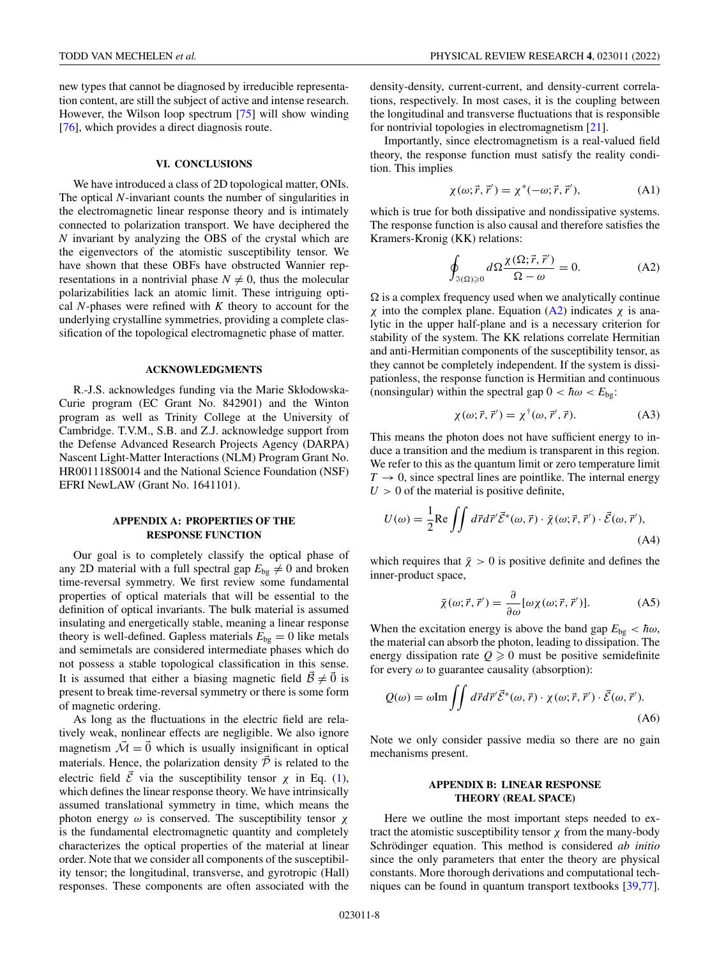<span id="page-7-0"></span>new types that cannot be diagnosed by irreducible representation content, are still the subject of active and intense research. However, the Wilson loop spectrum [\[75\]](#page-12-0) will show winding [\[76\]](#page-13-0), which provides a direct diagnosis route.

#### **VI. CONCLUSIONS**

We have introduced a class of 2D topological matter, ONIs. The optical *N*-invariant counts the number of singularities in the electromagnetic linear response theory and is intimately connected to polarization transport. We have deciphered the *N* invariant by analyzing the OBS of the crystal which are the eigenvectors of the atomistic susceptibility tensor. We have shown that these OBFs have obstructed Wannier representations in a nontrivial phase  $N \neq 0$ , thus the molecular polarizabilities lack an atomic limit. These intriguing optical *N*-phases were refined with *K* theory to account for the underlying crystalline symmetries, providing a complete classification of the topological electromagnetic phase of matter.

#### **ACKNOWLEDGMENTS**

R.-J.S. acknowledges funding via the Marie Skłodowska-Curie program (EC Grant No. 842901) and the Winton program as well as Trinity College at the University of Cambridge. T.V.M., S.B. and Z.J. acknowledge support from the Defense Advanced Research Projects Agency (DARPA) Nascent Light-Matter Interactions (NLM) Program Grant No. HR001118S0014 and the National Science Foundation (NSF) EFRI NewLAW (Grant No. 1641101).

## **APPENDIX A: PROPERTIES OF THE RESPONSE FUNCTION**

Our goal is to completely classify the optical phase of any 2D material with a full spectral gap  $E_{bg} \neq 0$  and broken time-reversal symmetry. We first review some fundamental properties of optical materials that will be essential to the definition of optical invariants. The bulk material is assumed insulating and energetically stable, meaning a linear response theory is well-defined. Gapless materials  $E_{bg} = 0$  like metals and semimetals are considered intermediate phases which do not possess a stable topological classification in this sense. It is assumed that either a biasing magnetic field  $\vec{B} \neq \vec{0}$  is present to break time-reversal symmetry or there is some form of magnetic ordering.

As long as the fluctuations in the electric field are relatively weak, nonlinear effects are negligible. We also ignore magnetism  $\overline{\mathcal{M}} = \overline{0}$  which is usually insignificant in optical materials. Hence, the polarization density  $\vec{P}$  is related to the electric field  $\vec{\mathcal{E}}$  via the susceptibility tensor  $\chi$  in Eq. [\(1\)](#page-1-0), which defines the linear response theory. We have intrinsically assumed translational symmetry in time, which means the photon energy  $ω$  is conserved. The susceptibility tensor  $χ$ is the fundamental electromagnetic quantity and completely characterizes the optical properties of the material at linear order. Note that we consider all components of the susceptibility tensor; the longitudinal, transverse, and gyrotropic (Hall) responses. These components are often associated with the density-density, current-current, and density-current correlations, respectively. In most cases, it is the coupling between the longitudinal and transverse fluctuations that is responsible for nontrivial topologies in electromagnetism [\[21\]](#page-11-0).

Importantly, since electromagnetism is a real-valued field theory, the response function must satisfy the reality condition. This implies

$$
\chi(\omega; \vec{r}, \vec{r}') = \chi^*(-\omega; \vec{r}, \vec{r}'), \tag{A1}
$$

which is true for both dissipative and nondissipative systems. The response function is also causal and therefore satisfies the Kramers-Kronig (KK) relations:

$$
\oint_{\Im(\Omega)\geq 0} d\Omega \frac{\chi(\Omega; \vec{r}, \vec{r}')}{\Omega - \omega} = 0.
$$
\n(A2)

 $\Omega$  is a complex frequency used when we analytically continue χ into the complex plane. Equation (A2) indicates χ is analytic in the upper half-plane and is a necessary criterion for stability of the system. The KK relations correlate Hermitian and anti-Hermitian components of the susceptibility tensor, as they cannot be completely independent. If the system is dissipationless, the response function is Hermitian and continuous (nonsingular) within the spectral gap  $0 < \hbar \omega < E_{\text{bg}}$ :

$$
\chi(\omega; \vec{r}, \vec{r}') = \chi^{\dagger}(\omega, \vec{r}', \vec{r}). \tag{A3}
$$

This means the photon does not have sufficient energy to induce a transition and the medium is transparent in this region. We refer to this as the quantum limit or zero temperature limit  $T \rightarrow 0$ , since spectral lines are pointlike. The internal energy  $U > 0$  of the material is positive definite,

$$
U(\omega) = \frac{1}{2} \text{Re} \iint d\vec{r} d\vec{r}' \vec{\mathcal{E}}^*(\omega, \vec{r}) \cdot \vec{\chi}(\omega; \vec{r}, \vec{r}') \cdot \vec{\mathcal{E}}(\omega, \vec{r}'),
$$
\n(A4)

which requires that  $\bar{x} > 0$  is positive definite and defines the inner-product space,

$$
\bar{\chi}(\omega; \vec{r}, \vec{r}') = \frac{\partial}{\partial \omega} [\omega \chi(\omega; \vec{r}, \vec{r}')] .
$$
 (A5)

When the excitation energy is above the band gap  $E_{bg} < \hbar \omega$ , the material can absorb the photon, leading to dissipation. The energy dissipation rate  $Q \ge 0$  must be positive semidefinite for every  $\omega$  to guarantee causality (absorption):

$$
Q(\omega) = \omega \text{Im} \int \int d\vec{r} d\vec{r}' \vec{\mathcal{E}}^*(\omega, \vec{r}) \cdot \chi(\omega; \vec{r}, \vec{r}') \cdot \vec{\mathcal{E}}(\omega, \vec{r}').
$$
\n(A6)

Note we only consider passive media so there are no gain mechanisms present.

## **APPENDIX B: LINEAR RESPONSE THEORY (REAL SPACE)**

Here we outline the most important steps needed to extract the atomistic susceptibility tensor  $\chi$  from the many-body Schrödinger equation. This method is considered *ab initio* since the only parameters that enter the theory are physical constants. More thorough derivations and computational techniques can be found in quantum transport textbooks [\[39](#page-12-0)[,77\]](#page-13-0).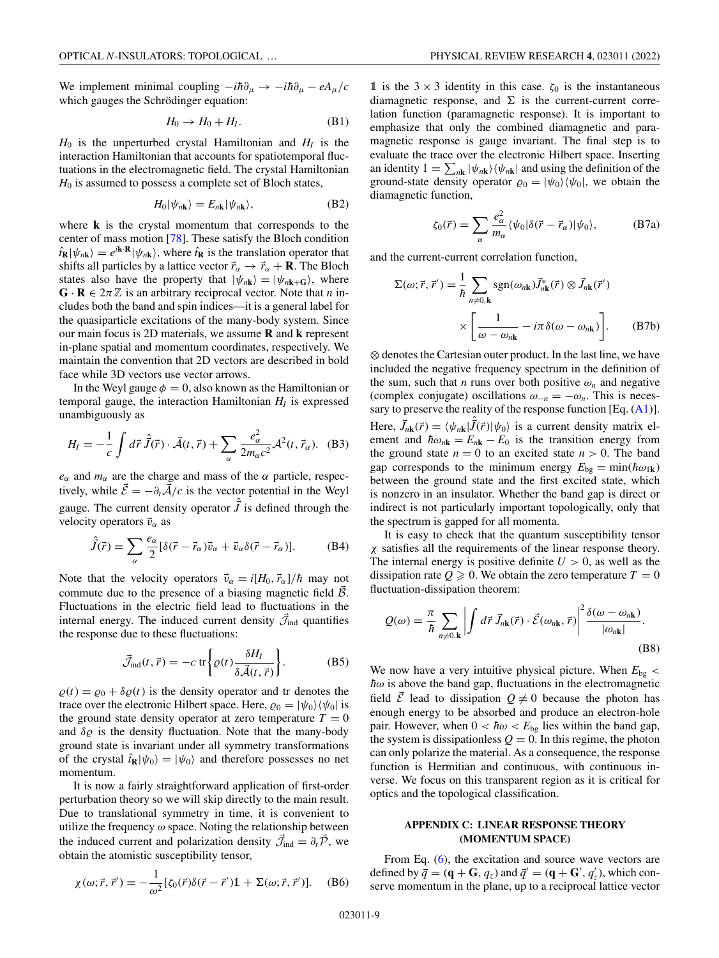<span id="page-8-0"></span>We implement minimal coupling  $-i\hbar\partial_\mu \rightarrow -i\hbar\partial_\mu - eA_\mu/c$ which gauges the Schrödinger equation:

$$
H_0 \to H_0 + H_I. \tag{B1}
$$

 $H_0$  is the unperturbed crystal Hamiltonian and  $H_1$  is the interaction Hamiltonian that accounts for spatiotemporal fluctuations in the electromagnetic field. The crystal Hamiltonian *H*<sup>0</sup> is assumed to possess a complete set of Bloch states,

$$
H_0|\psi_{n\mathbf{k}}\rangle = E_{n\mathbf{k}}|\psi_{n\mathbf{k}}\rangle,\tag{B2}
$$

where **k** is the crystal momentum that corresponds to the center of mass motion [\[78\]](#page-13-0). These satisfy the Bloch condition  $\hat{r}_R|\psi_{nR}\rangle = e^{i\mathbf{k} \cdot \mathbf{R}}|\psi_{nR}\rangle$ , where  $\hat{r}_R$  is the translation operator that shifts all particles by a lattice vector  $\vec{r}_{\alpha} \rightarrow \vec{r}_{\alpha} + \mathbf{R}$ . The Bloch states also have the property that  $|\psi_{n\mathbf{k}}\rangle=|\psi_{n\mathbf{k}+\mathbf{G}}\rangle$ , where  $\mathbf{G} \cdot \mathbf{R} \in 2\pi \mathbb{Z}$  is an arbitrary reciprocal vector. Note that *n* includes both the band and spin indices—it is a general label for the quasiparticle excitations of the many-body system. Since our main focus is 2D materials, we assume **R** and **k** represent in-plane spatial and momentum coordinates, respectively. We maintain the convention that 2D vectors are described in bold face while 3D vectors use vector arrows.

In the Weyl gauge  $\phi = 0$ , also known as the Hamiltonian or temporal gauge, the interaction Hamiltonian  $H_I$  is expressed unambiguously as

$$
H_{I} = -\frac{1}{c} \int d\vec{r} \,\hat{\vec{J}}(\vec{r}) \cdot \vec{\mathcal{A}}(t, \vec{r}) + \sum_{\alpha} \frac{e_{\alpha}^{2}}{2m_{\alpha}c^{2}} \mathcal{A}^{2}(t, \vec{r}_{\alpha}). \tag{B3}
$$

 $e_{\alpha}$  and  $m_{\alpha}$  are the charge and mass of the  $\alpha$  particle, respectively, while  $\vec{\mathcal{E}} = -\partial_t \vec{\mathcal{A}}/c$  is the vector potential in the Weyl gauge. The current density operator  $\hat{\vec{J}}$  is defined through the velocity operators  $\vec{v}_{\alpha}$  as

$$
\hat{\vec{J}}(\vec{r}) = \sum_{\alpha} \frac{e_{\alpha}}{2} [\delta(\vec{r} - \vec{r}_{\alpha}) \vec{v}_{\alpha} + \vec{v}_{\alpha} \delta(\vec{r} - \vec{r}_{\alpha})].
$$
 (B4)

Note that the velocity operators  $\vec{v}_{\alpha} = i[H_0, \vec{r}_{\alpha}]/\hbar$  may not commute due to the presence of a biasing magnetic field  $\vec{B}$ . Fluctuations in the electric field lead to fluctuations in the internal energy. The induced current density  $\mathcal{\vec{J}}_{ind}$  quantifies the response due to these fluctuations:

$$
\vec{\mathcal{J}}_{\text{ind}}(t, \vec{r}) = -c \, \text{tr} \left\{ \varrho(t) \frac{\delta H_I}{\delta \vec{\mathcal{A}}(t, \vec{r})} \right\}.
$$
 (B5)

 $\varrho(t) = \varrho_0 + \delta \varrho(t)$  is the density operator and tr denotes the trace over the electronic Hilbert space. Here,  $\varrho_0 = |\psi_0\rangle \langle \psi_0|$  is the ground state density operator at zero temperature  $T = 0$ and  $\delta \varrho$  is the density fluctuation. Note that the many-body ground state is invariant under all symmetry transformations of the crystal  $\hat{t}_R |\psi_0\rangle = |\psi_0\rangle$  and therefore possesses no net momentum.

It is now a fairly straightforward application of first-order perturbation theory so we will skip directly to the main result. Due to translational symmetry in time, it is convenient to utilize the frequency  $\omega$  space. Noting the relationship between the induced current and polarization density  $\vec{\mathcal{J}}_{ind} = \partial_t \vec{\mathcal{P}}$ , we obtain the atomistic susceptibility tensor,

$$
\chi(\omega;\vec{r},\vec{r}') = -\frac{1}{\omega^2} [\zeta_0(\vec{r})\delta(\vec{r}-\vec{r}')] \mathbb{1} + \Sigma(\omega;\vec{r},\vec{r}')] . \quad (B6)
$$

1 is the  $3 \times 3$  identity in this case.  $\zeta_0$  is the instantaneous diamagnetic response, and  $\Sigma$  is the current-current correlation function (paramagnetic response). It is important to emphasize that only the combined diamagnetic and paramagnetic response is gauge invariant. The final step is to evaluate the trace over the electronic Hilbert space. Inserting an identity  $1 = \sum_{n\mathbf{k}} |\psi_{n\mathbf{k}}\rangle\langle\psi_{n\mathbf{k}}|$  and using the definition of the ground-state density operator  $\varrho_0 = |\psi_0\rangle \langle \psi_0|$ , we obtain the diamagnetic function,

$$
\zeta_0(\vec{r}) = \sum_{\alpha} \frac{e_{\alpha}^2}{m_{\alpha}} \langle \psi_0 | \delta(\vec{r} - \vec{r}_{\alpha}) | \psi_0 \rangle, \tag{B7a}
$$

and the current-current correlation function,

$$
\Sigma(\omega; \vec{r}, \vec{r}') = \frac{1}{\hbar} \sum_{n \neq 0, \mathbf{k}} \text{sgn}(\omega_{n\mathbf{k}}) \vec{J}_{n\mathbf{k}}^*(\vec{r}) \otimes \vec{J}_{n\mathbf{k}}(\vec{r}')
$$

$$
\times \left[ \frac{1}{\omega - \omega_{n\mathbf{k}}} - i\pi \delta(\omega - \omega_{n\mathbf{k}}) \right]. \tag{B7b}
$$

⊗ denotes the Cartesian outer product. In the last line, we have included the negative frequency spectrum in the definition of the sum, such that *n* runs over both positive  $\omega_n$  and negative (complex conjugate) oscillations  $\omega_{-n} = -\omega_n$ . This is necessary to preserve the reality of the response function [Eq. [\(A1\)](#page-7-0)]. Here,  $\vec{J}_{nk}(\vec{r}) = \langle \psi_{nk} | \hat{\vec{J}}(\vec{r}) | \psi_0 \rangle$  is a current density matrix element and  $\hbar \omega_{n\mathbf{k}} = E_{n\mathbf{k}} - E_0$  is the transition energy from the ground state  $n = 0$  to an excited state  $n > 0$ . The band gap corresponds to the minimum energy  $E_{bg} = min(\hbar \omega_{1k})$ between the ground state and the first excited state, which is nonzero in an insulator. Whether the band gap is direct or indirect is not particularly important topologically, only that the spectrum is gapped for all momenta.

It is easy to check that the quantum susceptibility tensor χ satisfies all the requirements of the linear response theory. The internal energy is positive definite  $U > 0$ , as well as the dissipation rate  $Q \ge 0$ . We obtain the zero temperature  $T = 0$ fluctuation-dissipation theorem:

$$
Q(\omega) = \frac{\pi}{\hbar} \sum_{n \neq 0, \mathbf{k}} \left| \int d\vec{r} \, \vec{J}_{n\mathbf{k}}(\vec{r}) \cdot \vec{\mathcal{E}}(\omega_{n\mathbf{k}}, \vec{r}) \right|^2 \frac{\delta(\omega - \omega_{n\mathbf{k}})}{|\omega_{n\mathbf{k}}|}.
$$
\n(B8)

We now have a very intuitive physical picture. When  $E_{bg}$  <  $\hbar\omega$  is above the band gap, fluctuations in the electromagnetic field  $\vec{\mathcal{E}}$  lead to dissipation  $\mathcal{Q} \neq 0$  because the photon has enough energy to be absorbed and produce an electron-hole pair. However, when  $0 < \hbar \omega < E_{bg}$  lies within the band gap, the system is dissipationless  $Q = 0$ . In this regime, the photon can only polarize the material. As a consequence, the response function is Hermitian and continuous, with continuous inverse. We focus on this transparent region as it is critical for optics and the topological classification.

## **APPENDIX C: LINEAR RESPONSE THEORY (MOMENTUM SPACE)**

From Eq. [\(6\)](#page-2-0), the excitation and source wave vectors are defined by  $\vec{q} = (\mathbf{q} + \mathbf{G}, q_z)$  and  $\vec{q}' = (\mathbf{q} + \mathbf{G}', q'_z)$ , which conserve momentum in the plane, up to a reciprocal lattice vector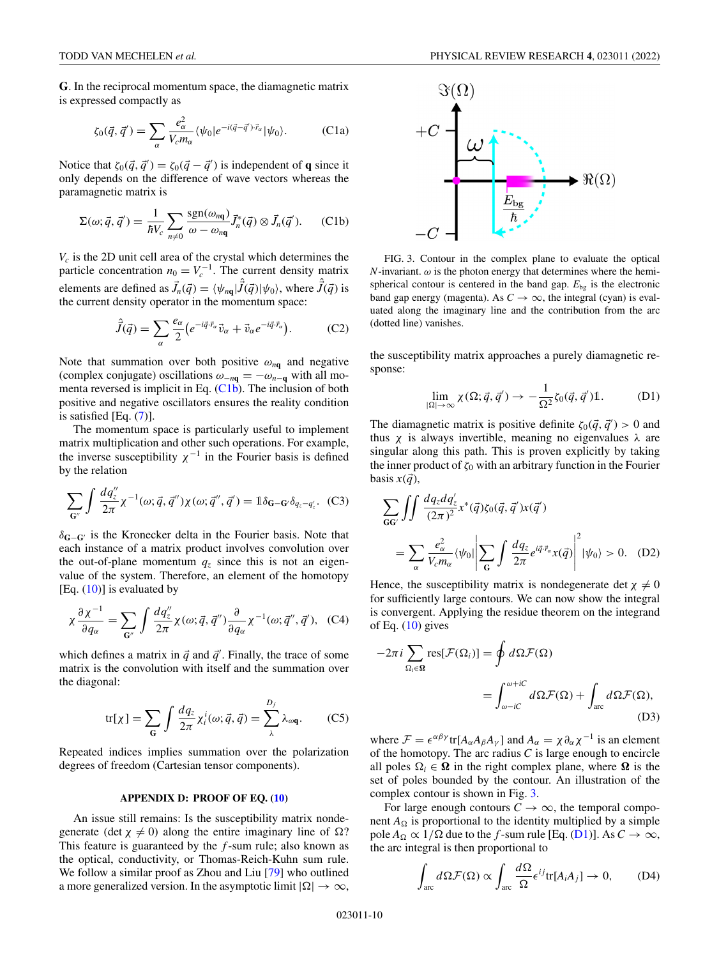<span id="page-9-0"></span>**G**. In the reciprocal momentum space, the diamagnetic matrix is expressed compactly as

$$
\zeta_0(\vec{q}, \vec{q}') = \sum_{\alpha} \frac{e_{\alpha}^2}{V_c m_{\alpha}} \langle \psi_0 | e^{-i(\vec{q} - \vec{q}') \cdot \vec{r}_{\alpha}} | \psi_0 \rangle.
$$
 (C1a)

Notice that  $\zeta_0(\vec{q}, \vec{q}') = \zeta_0(\vec{q} - \vec{q}')$  is independent of **q** since it only depends on the difference of wave vectors whereas the paramagnetic matrix is

$$
\Sigma(\omega; \vec{q}, \vec{q}') = \frac{1}{\hbar V_c} \sum_{n \neq 0} \frac{\text{sgn}(\omega_{n\mathbf{q}})}{\omega - \omega_{n\mathbf{q}}} \vec{J}_n^*(\vec{q}) \otimes \vec{J}_n(\vec{q}'). \tag{C1b}
$$

*Vc* is the 2D unit cell area of the crystal which determines the particle concentration  $n_0 = V_c^{-1}$ . The current density matrix elements are defined as  $\vec{J}_n(\vec{q}) = \langle \psi_{n\mathbf{q}} | \hat{\vec{J}}(\vec{q}) | \psi_0 \rangle$ , where  $\hat{\vec{J}}(\vec{q})$  is the current density operator in the momentum space:

$$
\hat{\vec{J}}(\vec{q}) = \sum_{\alpha} \frac{e_{\alpha}}{2} \left( e^{-i\vec{q}\cdot\vec{r}_{\alpha}} \vec{v}_{\alpha} + \vec{v}_{\alpha} e^{-i\vec{q}\cdot\vec{r}_{\alpha}} \right).
$$
 (C2)

Note that summation over both positive  $\omega_{nq}$  and negative (complex conjugate) oscillations  $\omega_{-nq} = -\omega_{n-q}$  with all momenta reversed is implicit in Eq. (C1b). The inclusion of both positive and negative oscillators ensures the reality condition is satisfied [Eq. [\(7\)](#page-2-0)].

The momentum space is particularly useful to implement matrix multiplication and other such operations. For example, the inverse susceptibility  $\chi^{-1}$  in the Fourier basis is defined by the relation

$$
\sum_{\mathbf{G}''}\int \frac{dq''_z}{2\pi} \chi^{-1}(\omega;\vec{q},\vec{q}'')\chi(\omega;\vec{q}'',\vec{q}') = \mathbb{1}\delta_{\mathbf{G}-\mathbf{G}'}\delta_{q_z-q'_z}.\tag{C3}
$$

δ**G**−**G** is the Kronecker delta in the Fourier basis. Note that each instance of a matrix product involves convolution over the out-of-plane momentum  $q_z$  since this is not an eigenvalue of the system. Therefore, an element of the homotopy [Eq.  $(10)$ ] is evaluated by

$$
\chi \frac{\partial \chi^{-1}}{\partial q_{\alpha}} = \sum_{\mathbf{G}''} \int \frac{dq''_{z}}{2\pi} \chi(\omega; \vec{q}, \vec{q}'') \frac{\partial}{\partial q_{\alpha}} \chi^{-1}(\omega; \vec{q}'', \vec{q}'), \quad (C4)
$$

which defines a matrix in  $\vec{q}$  and  $\vec{q}'$ . Finally, the trace of some matrix is the convolution with itself and the summation over the diagonal:

$$
\text{tr}[\chi] = \sum_{\mathbf{G}} \int \frac{dq_z}{2\pi} \chi_i^i(\omega; \vec{q}, \vec{q}) = \sum_{\lambda}^{D_f} \lambda_{\omega \mathbf{q}}.
$$
 (C5)

Repeated indices implies summation over the polarization degrees of freedom (Cartesian tensor components).

## **APPENDIX D: PROOF OF EQ. [\(10\)](#page-3-0)**

An issue still remains: Is the susceptibility matrix nondegenerate (det  $\chi \neq 0$ ) along the entire imaginary line of  $\Omega$ ? This feature is guaranteed by the *f* -sum rule; also known as the optical, conductivity, or Thomas-Reich-Kuhn sum rule. We follow a similar proof as Zhou and Liu [\[79\]](#page-13-0) who outlined a more generalized version. In the asymptotic limit  $|\Omega| \to \infty$ ,



FIG. 3. Contour in the complex plane to evaluate the optical *N*-invariant.  $\omega$  is the photon energy that determines where the hemispherical contour is centered in the band gap.  $E_{bg}$  is the electronic band gap energy (magenta). As  $C \rightarrow \infty$ , the integral (cyan) is evaluated along the imaginary line and the contribution from the arc (dotted line) vanishes.

the susceptibility matrix approaches a purely diamagnetic response:

$$
\lim_{|\Omega| \to \infty} \chi(\Omega; \vec{q}, \vec{q}') \to -\frac{1}{\Omega^2} \zeta_0(\vec{q}, \vec{q}') \mathbb{1}.
$$
 (D1)

The diamagnetic matrix is positive definite  $\zeta_0(\vec{q}, \vec{q}') > 0$  and thus  $\chi$  is always invertible, meaning no eigenvalues  $\lambda$  are singular along this path. This is proven explicitly by taking the inner product of  $\zeta_0$  with an arbitrary function in the Fourier basis  $x(\vec{q})$ ,

$$
\sum_{GG'} \int \int \frac{dq_z dq'_z}{(2\pi)^2} x^*(\vec{q}) \zeta_0(\vec{q}, \vec{q}') x(\vec{q}')
$$
  
= 
$$
\sum_{\alpha} \frac{e_{\alpha}^2}{V_c m_{\alpha}} \langle \psi_0 | \left| \sum_{G} \int \frac{dq_z}{2\pi} e^{i\vec{q} \cdot \vec{r}_{\alpha}} x(\vec{q}) \right|^2 | \psi_0 \rangle > 0.
$$
 (D2)

Hence, the susceptibility matrix is nondegenerate det  $\chi \neq 0$ for sufficiently large contours. We can now show the integral is convergent. Applying the residue theorem on the integrand of Eq.  $(10)$  gives

$$
-2\pi i \sum_{\Omega_i \in \Omega} \text{res}[\mathcal{F}(\Omega_i)] = \oint d\Omega \mathcal{F}(\Omega)
$$

$$
= \int_{\omega - iC}^{\omega + iC} d\Omega \mathcal{F}(\Omega) + \int_{\text{arc}} d\Omega \mathcal{F}(\Omega), \tag{D3}
$$

where  $\mathcal{F} = \epsilon^{\alpha\beta\gamma}$  tr[ $A_{\alpha}A_{\beta}A_{\gamma}$ ] and  $A_{\alpha} = \chi \partial_{\alpha} \chi^{-1}$  is an element of the homotopy. The arc radius *C* is large enough to encircle all poles  $\Omega_i \in \Omega$  in the right complex plane, where  $\Omega$  is the set of poles bounded by the contour. An illustration of the complex contour is shown in Fig. 3.

For large enough contours  $C \rightarrow \infty$ , the temporal component  $A_{\Omega}$  is proportional to the identity multiplied by a simple pole  $A_{\Omega} \propto 1/\Omega$  due to the *f*-sum rule [Eq. (D1)]. As  $C \to \infty$ , the arc integral is then proportional to

$$
\int_{\text{arc}} d\Omega \mathcal{F}(\Omega) \propto \int_{\text{arc}} \frac{d\Omega}{\Omega} \epsilon^{ij} \text{tr}[A_i A_j] \to 0, \quad (D4)
$$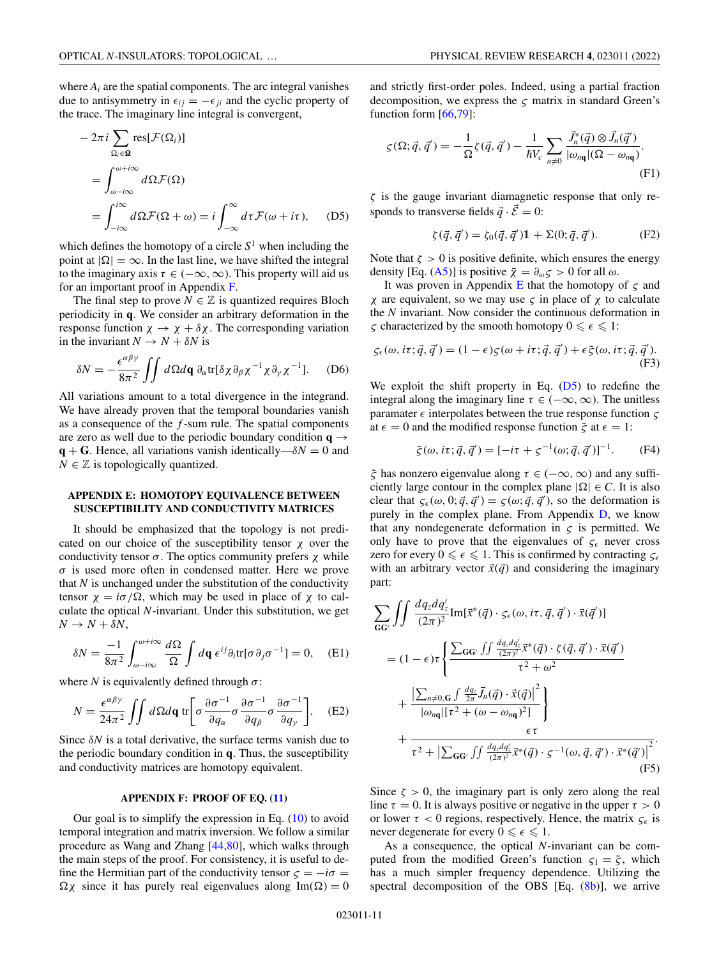<span id="page-10-0"></span>where  $A_i$  are the spatial components. The arc integral vanishes due to antisymmetry in  $\epsilon_{ij} = -\epsilon_{ji}$  and the cyclic property of the trace. The imaginary line integral is convergent,

$$
-2\pi i \sum_{\Omega_i \in \Omega} \text{res}[\mathcal{F}(\Omega_i)]
$$
  
= 
$$
\int_{\omega - i\infty}^{\omega + i\infty} d\Omega \mathcal{F}(\Omega)
$$
  
= 
$$
\int_{-i\infty}^{i\infty} d\Omega \mathcal{F}(\Omega + \omega) = i \int_{-\infty}^{\infty} d\tau \mathcal{F}(\omega + i\tau), \quad (D5)
$$

which defines the homotopy of a circle  $S<sup>1</sup>$  when including the point at  $|\Omega| = \infty$ . In the last line, we have shifted the integral to the imaginary axis  $\tau \in (-\infty, \infty)$ . This property will aid us for an important proof in Appendix F.

The final step to prove  $N \in \mathbb{Z}$  is quantized requires Bloch periodicity in **q**. We consider an arbitrary deformation in the response function  $\chi \to \chi + \delta \chi$ . The corresponding variation in the invariant  $N \rightarrow N + \delta N$  is

$$
\delta N = -\frac{\epsilon^{\alpha\beta\gamma}}{8\pi^2} \iint d\Omega d\mathbf{q} \, \partial_{\alpha} \text{tr}[\delta \chi \partial_{\beta} \chi^{-1} \chi \partial_{\gamma} \chi^{-1}]. \tag{D6}
$$

All variations amount to a total divergence in the integrand. We have already proven that the temporal boundaries vanish as a consequence of the *f* -sum rule. The spatial components are zero as well due to the periodic boundary condition  $q \rightarrow$  $q + G$ . Hence, all variations vanish identically— $\delta N = 0$  and  $N \in \mathbb{Z}$  is topologically quantized.

## **APPENDIX E: HOMOTOPY EQUIVALENCE BETWEEN SUSCEPTIBILITY AND CONDUCTIVITY MATRICES**

It should be emphasized that the topology is not predicated on our choice of the susceptibility tensor  $\chi$  over the conductivity tensor  $\sigma$ . The optics community prefers  $\chi$  while  $\sigma$  is used more often in condensed matter. Here we prove that *N* is unchanged under the substitution of the conductivity tensor  $\chi = i\sigma/\Omega$ , which may be used in place of  $\chi$  to calculate the optical *N*-invariant. Under this substitution, we get  $N \rightarrow N + \delta N$ ,

$$
\delta N = \frac{-1}{8\pi^2} \int_{\omega - i\infty}^{\omega + i\infty} \frac{d\Omega}{\Omega} \int d\mathbf{q} \epsilon^{ij} \partial_i \text{tr}[\sigma \partial_j \sigma^{-1}] = 0, \quad \text{(E1)}
$$

where *N* is equivalently defined through  $\sigma$ :

$$
N = \frac{\epsilon^{\alpha\beta\gamma}}{24\pi^2} \iint d\Omega d\mathbf{q} \operatorname{tr} \left[ \sigma \frac{\partial \sigma^{-1}}{\partial q_\alpha} \sigma \frac{\partial \sigma^{-1}}{\partial q_\beta} \sigma \frac{\partial \sigma^{-1}}{\partial q_\gamma} \right]. \tag{E2}
$$

Since  $\delta N$  is a total derivative, the surface terms vanish due to the periodic boundary condition in **q**. Thus, the susceptibility and conductivity matrices are homotopy equivalent.

## **APPENDIX F: PROOF OF EQ. [\(11\)](#page-4-0)**

Our goal is to simplify the expression in Eq. [\(10\)](#page-3-0) to avoid temporal integration and matrix inversion. We follow a similar procedure as Wang and Zhang [\[44](#page-12-0)[,80\]](#page-13-0), which walks through the main steps of the proof. For consistency, it is useful to define the Hermitian part of the conductivity tensor  $\zeta = -i\sigma$  =  $\Omega \chi$  since it has purely real eigenvalues along Im( $\Omega$ ) = 0 and strictly first-order poles. Indeed, using a partial fraction decomposition, we express the  $\zeta$  matrix in standard Green's function form  $[66,79]$  $[66,79]$ :

$$
\varsigma(\Omega; \vec{q}, \vec{q}') = -\frac{1}{\Omega} \zeta(\vec{q}, \vec{q}') - \frac{1}{\hbar V_c} \sum_{n \neq 0} \frac{\vec{J}_n^*(\vec{q}) \otimes \vec{J}_n(\vec{q}')}{|\omega_{n\mathbf{q}}|(\Omega - \omega_{n\mathbf{q}})}.
$$
\n(F1)

 $\zeta$  is the gauge invariant diamagnetic response that only responds to transverse fields  $\vec{a} \cdot \vec{\mathcal{E}} = 0$ :

$$
\zeta(\vec{q}, \vec{q}') = \zeta_0(\vec{q}, \vec{q}') \mathbb{1} + \Sigma(0; \vec{q}, \vec{q}').
$$
 (F2)

Note that  $\zeta > 0$  is positive definite, which ensures the energy density [Eq. [\(A5\)](#page-7-0)] is positive  $\bar{\chi} = \partial_{\omega} \varsigma > 0$  for all  $\omega$ .

It was proven in Appendix E that the homotopy of  $\zeta$  and χ are equivalent, so we may use ς in place of χ to calculate the *N* invariant. Now consider the continuous deformation in  $\zeta$  characterized by the smooth homotopy  $0 \leq \epsilon \leq 1$ :

$$
\zeta_{\epsilon}(\omega, i\tau; \vec{q}, \vec{q}') = (1 - \epsilon)\zeta(\omega + i\tau; \vec{q}, \vec{q}') + \epsilon \tilde{\zeta}(\omega, i\tau; \vec{q}, \vec{q}').
$$
\n(F3)

We exploit the shift property in Eq. (D5) to redefine the integral along the imaginary line  $\tau \in (-\infty, \infty)$ . The unitless paramater  $\epsilon$  interpolates between the true response function  $\zeta$ at  $\epsilon = 0$  and the modified response function  $\tilde{\zeta}$  at  $\epsilon = 1$ :

$$
\tilde{\zeta}(\omega, i\tau; \vec{q}, \vec{q}') = [-i\tau + \zeta^{-1}(\omega; \vec{q}, \vec{q}')]^{-1}.
$$
 (F4)

 $\tilde{\zeta}$  has nonzero eigenvalue along  $\tau \in (-\infty, \infty)$  and any sufficiently large contour in the complex plane  $|\Omega| \in C$ . It is also clear that  $\zeta_{\epsilon}(\omega, 0; \vec{q}, \vec{q}') = \zeta(\omega; \vec{q}, \vec{q}')$ , so the deformation is purely in the complex plane. From Appendix [D,](#page-9-0) we know that any nondegenerate deformation in  $\zeta$  is permitted. We only have to prove that the eigenvalues of  $\zeta_{\epsilon}$  never cross zero for every  $0 \le \epsilon \le 1$ . This is confirmed by contracting  $\zeta_{\epsilon}$ with an arbitrary vector  $\vec{x}(\vec{q})$  and considering the imaginary part:

$$
\sum_{\mathbf{G}\mathbf{G}'} \int \int \frac{dq_z dq'_z}{(2\pi)^2} Im[\vec{x}^*(\vec{q}) \cdot \varsigma_{\epsilon}(\omega, i\tau, \vec{q}, \vec{q}') \cdot \vec{x}(\vec{q}')] \n= (1 - \epsilon)\tau \left\{ \frac{\sum_{\mathbf{G}\mathbf{G}'} \int \int \frac{dq_z dq'_z}{(2\pi)^2} \vec{x}^*(\vec{q}) \cdot \zeta(\vec{q}, \vec{q}') \cdot \vec{x}(\vec{q}')}{\tau^2 + \omega^2} + \frac{|\sum_{n \neq 0, \mathbf{G}} \int \frac{dq_z}{2\pi} \vec{J}_n(\vec{q}) \cdot \vec{x}(\vec{q})|^2}{|\omega_{n\mathbf{q}}| [\tau^2 + (\omega - \omega_{n\mathbf{q}})^2]} \right\} \n+ \frac{\epsilon\tau}{\tau^2 + |\sum_{\mathbf{G}\mathbf{G}'} \int \int \frac{dq_z dq'_z}{(2\pi)^2} \vec{x}^*(\vec{q}) \cdot \varsigma^{-1}(\omega, \vec{q}, \vec{q}') \cdot \vec{x}^*(\vec{q}')|^2}.
$$
\n(F5)

Since  $\zeta > 0$ , the imaginary part is only zero along the real line  $\tau = 0$ . It is always positive or negative in the upper  $\tau > 0$ or lower  $\tau < 0$  regions, respectively. Hence, the matrix  $\zeta_{\epsilon}$  is never degenerate for every  $0 \leq \epsilon \leq 1$ .

As a consequence, the optical *N*-invariant can be computed from the modified Green's function  $\zeta_1 = \tilde{\zeta}$ , which has a much simpler frequency dependence. Utilizing the spectral decomposition of the OBS [Eq. [\(8b\)](#page-3-0)], we arrive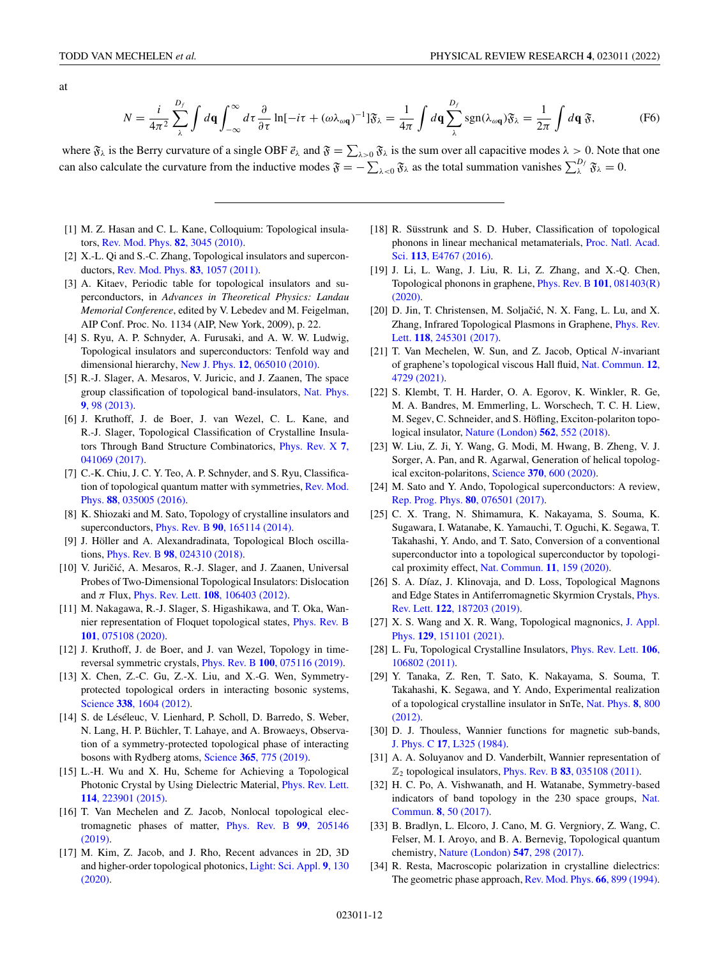<span id="page-11-0"></span>at

$$
N = \frac{i}{4\pi^2} \sum_{\lambda}^{D_f} \int d\mathbf{q} \int_{-\infty}^{\infty} d\tau \frac{\partial}{\partial \tau} \ln[-i\tau + (\omega \lambda_{\omega \mathbf{q}})^{-1}] \mathfrak{F}_{\lambda} = \frac{1}{4\pi} \int d\mathbf{q} \sum_{\lambda}^{D_f} \text{sgn}(\lambda_{\omega \mathbf{q}}) \mathfrak{F}_{\lambda} = \frac{1}{2\pi} \int d\mathbf{q} \mathfrak{F},\tag{F6}
$$

where  $\mathfrak{F}_{\lambda}$  is the Berry curvature of a single OBF  $\vec{e}_{\lambda}$  and  $\mathfrak{F} = \sum_{\lambda>0} \mathfrak{F}_{\lambda}$  is the sum over all capacitive modes  $\lambda > 0$ . Note that one can also calculate the curvature from the inductive modes  $\mathfrak{F} = -\sum_{\lambda < 0} \mathfrak{F}_\lambda$  as the total summation vanishes  $\sum_{\lambda}^{D_f} \mathfrak{F}_\lambda = 0$ .

- [1] M. Z. Hasan and C. L. Kane, Colloquium: Topological insulators, [Rev. Mod. Phys.](https://doi.org/10.1103/RevModPhys.82.3045) **82**, 3045 (2010).
- [2] X.-L. Qi and S.-C. Zhang, Topological insulators and superconductors, [Rev. Mod. Phys.](https://doi.org/10.1103/RevModPhys.83.1057) **83**, 1057 (2011).
- [3] A. Kitaev, Periodic table for topological insulators and superconductors, in *Advances in Theoretical Physics: Landau Memorial Conference*, edited by V. Lebedev and M. Feigelman, AIP Conf. Proc. No. 1134 (AIP, New York, 2009), p. 22.
- [4] S. Ryu, A. P. Schnyder, A. Furusaki, and A. W. W. Ludwig, Topological insulators and superconductors: Tenfold way and dimensional hierarchy, New J. Phys. **12**[, 065010 \(2010\).](https://doi.org/10.1088/1367-2630/12/6/065010)
- [5] R.-J. Slager, A. Mesaros, V. Juricic, and J. Zaanen, The space [group classification of topological band-insulators,](https://doi.org/10.1038/nphys2513) Nat. Phys. **9**, 98 (2013).
- [6] J. Kruthoff, J. de Boer, J. van Wezel, C. L. Kane, and R.-J. Slager, Topological Classification of Crystalline Insula[tors Through Band Structure Combinatorics,](https://doi.org/10.1103/PhysRevX.7.041069) Phys. Rev. X **7**, 041069 (2017).
- [7] C.-K. Chiu, J. C. Y. Teo, A. P. Schnyder, and S. Ryu, Classifica[tion of topological quantum matter with symmetries,](https://doi.org/10.1103/RevModPhys.88.035005) Rev. Mod. Phys. **88**, 035005 (2016).
- [8] K. Shiozaki and M. Sato, Topology of crystalline insulators and superconductors, Phys. Rev. B **90**[, 165114 \(2014\).](https://doi.org/10.1103/PhysRevB.90.165114)
- [9] J. Höller and A. Alexandradinata, Topological Bloch oscillations, Phys. Rev. B **98**[, 024310 \(2018\).](https://doi.org/10.1103/PhysRevB.98.024310)
- [10] V. Juričić, A. Mesaros, R.-J. Slager, and J. Zaanen, Universal Probes of Two-Dimensional Topological Insulators: Dislocation and  $\pi$  Flux, *Phys. Rev. Lett.* **108**[, 106403 \(2012\).](https://doi.org/10.1103/PhysRevLett.108.106403)
- [11] M. Nakagawa, R.-J. Slager, S. Higashikawa, and T. Oka, Wan[nier representation of Floquet topological states,](https://doi.org/10.1103/PhysRevB.101.075108) Phys. Rev. B **101**, 075108 (2020).
- [12] J. Kruthoff, J. de Boer, and J. van Wezel, Topology in timereversal symmetric crystals, Phys. Rev. B **100**[, 075116 \(2019\).](https://doi.org/10.1103/PhysRevB.100.075116)
- [13] X. Chen, Z.-C. Gu, Z.-X. Liu, and X.-G. Wen, Symmetryprotected topological orders in interacting bosonic systems, Science **338**[, 1604 \(2012\).](https://doi.org/10.1126/science.1227224)
- [14] S. de Léséleuc, V. Lienhard, P. Scholl, D. Barredo, S. Weber, N. Lang, H. P. Büchler, T. Lahaye, and A. Browaeys, Observation of a symmetry-protected topological phase of interacting bosons with Rydberg atoms, Science **365**[, 775 \(2019\).](https://doi.org/10.1126/science.aav9105)
- [15] L.-H. Wu and X. Hu, Scheme for Achieving a Topological [Photonic Crystal by Using Dielectric Material,](https://doi.org/10.1103/PhysRevLett.114.223901) Phys. Rev. Lett. **114**, 223901 (2015).
- [16] T. Van Mechelen and Z. Jacob, Nonlocal topological elec[tromagnetic phases of matter,](https://doi.org/10.1103/PhysRevB.99.205146) Phys. Rev. B **99**, 205146 (2019).
- [17] M. Kim, Z. Jacob, and J. Rho, Recent advances in 2D, 3D [and higher-order topological photonics,](https://doi.org/10.1038/s41377-020-0331-y) Light: Sci. Appl. **9**, 130 (2020).
- [18] R. Süsstrunk and S. D. Huber, Classification of topological [phonons in linear mechanical metamaterials,](https://doi.org/10.1073/pnas.1605462113) Proc. Natl. Acad. Sci. **113**, E4767 (2016).
- [19] J. Li, L. Wang, J. Liu, R. Li, Z. Zhang, and X.-Q. Chen, [Topological phonons in graphene,](https://doi.org/10.1103/PhysRevB.101.081403) Phys. Rev. B **101**, 081403(R) (2020).
- [20] D. Jin, T. Christensen, M. Soljačić, N. X. Fang, L. Lu, and X. [Zhang, Infrared Topological Plasmons in Graphene,](https://doi.org/10.1103/PhysRevLett.118.245301) Phys. Rev. Lett. **118**, 245301 (2017).
- [21] T. Van Mechelen, W. Sun, and Z. Jacob, Optical *N*-invariant [of graphene's topological viscous Hall fluid,](https://doi.org/10.1038/s41467-021-25097-2) Nat. Commun. **12**, 4729 (2021).
- [22] S. Klembt, T. H. Harder, O. A. Egorov, K. Winkler, R. Ge, M. A. Bandres, M. Emmerling, L. Worschech, T. C. H. Liew, M. Segev, C. Schneider, and S. Höfling, Exciton-polariton topological insulator, [Nature \(London\)](https://doi.org/10.1038/s41586-018-0601-5) **562**, 552 (2018).
- [23] W. Liu, Z. Ji, Y. Wang, G. Modi, M. Hwang, B. Zheng, V. J. Sorger, A. Pan, and R. Agarwal, Generation of helical topological exciton-polaritons, Science **370**[, 600 \(2020\).](https://doi.org/10.1126/science.abc4975)
- [24] M. Sato and Y. Ando, Topological superconductors: A review, [Rep. Prog. Phys.](https://doi.org/10.1088/1361-6633/aa6ac7) **80**, 076501 (2017).
- [25] C. X. Trang, N. Shimamura, K. Nakayama, S. Souma, K. Sugawara, I. Watanabe, K. Yamauchi, T. Oguchi, K. Segawa, T. Takahashi, Y. Ando, and T. Sato, Conversion of a conventional superconductor into a topological superconductor by topological proximity effect, [Nat. Commun.](https://doi.org/10.1038/s41467-019-13946-0) **11**, 159 (2020).
- [26] S. A. Díaz, J. Klinovaja, and D. Loss, Topological Magnons [and Edge States in Antiferromagnetic Skyrmion Crystals,](https://doi.org/10.1103/PhysRevLett.122.187203) Phys. Rev. Lett. **122**, 187203 (2019).
- [27] [X. S. Wang and X. R. Wang, Topological magnonics,](https://doi.org/10.1063/5.0041781) J. Appl. Phys. **129**, 151101 (2021).
- [28] [L. Fu, Topological Crystalline Insulators,](https://doi.org/10.1103/PhysRevLett.106.106802) Phys. Rev. Lett. **106**, 106802 (2011).
- [29] Y. Tanaka, Z. Ren, T. Sato, K. Nakayama, S. Souma, T. Takahashi, K. Segawa, and Y. Ando, Experimental realization [of a topological crystalline insulator in SnTe,](https://doi.org/10.1038/nphys2442) Nat. Phys. **8**, 800 (2012).
- [30] D. J. Thouless, Wannier functions for magnetic sub-bands, J. Phys. C **17**[, L325 \(1984\).](https://doi.org/10.1088/0022-3719/17/12/003)
- [31] A. A. Soluyanov and D. Vanderbilt, Wannier representation of  $\mathbb{Z}_2$  topological insulators, *Phys. Rev. B* **83**[, 035108 \(2011\).](https://doi.org/10.1103/PhysRevB.83.035108)
- [32] H. C. Po, A. Vishwanath, and H. Watanabe, Symmetry-based [indicators of band topology in the 230 space groups,](https://doi.org/10.1038/s41467-017-00133-2) Nat. Commun. **8**, 50 (2017).
- [33] B. Bradlyn, L. Elcoro, J. Cano, M. G. Vergniory, Z. Wang, C. Felser, M. I. Aroyo, and B. A. Bernevig, Topological quantum chemistry, [Nature \(London\)](https://doi.org/10.1038/nature23268) **547**, 298 (2017).
- [34] R. Resta, Macroscopic polarization in crystalline dielectrics: The geometric phase approach, [Rev. Mod. Phys.](https://doi.org/10.1103/RevModPhys.66.899) **66**, 899 (1994).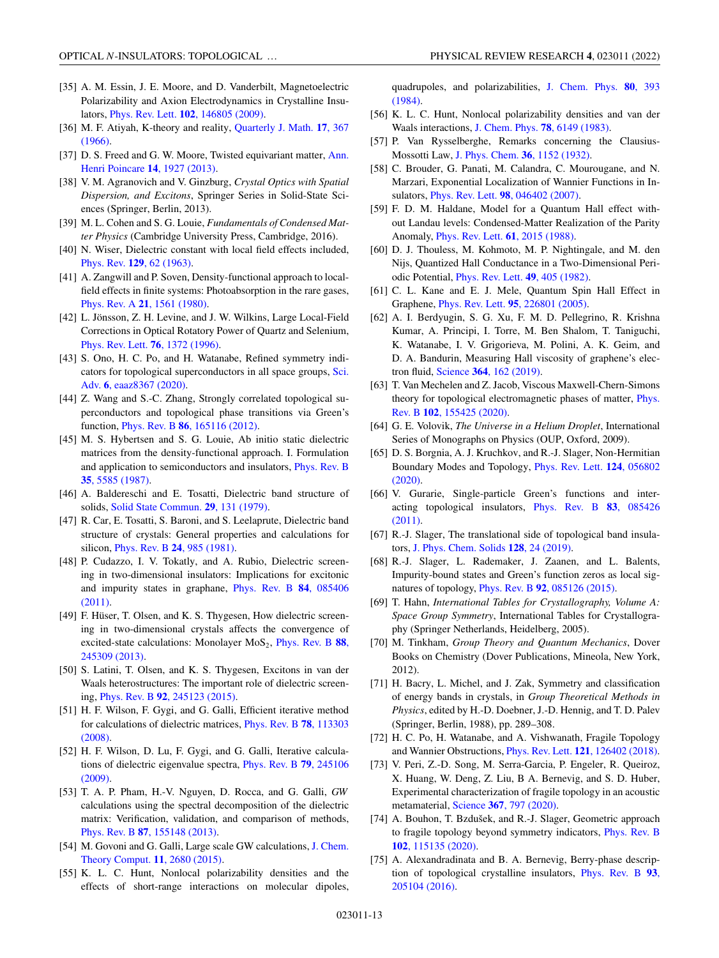- <span id="page-12-0"></span>[35] A. M. Essin, J. E. Moore, and D. Vanderbilt, Magnetoelectric Polarizability and Axion Electrodynamics in Crystalline Insulators, Phys. Rev. Lett. **102**[, 146805 \(2009\).](https://doi.org/10.1103/PhysRevLett.102.146805)
- [36] [M. F. Atiyah, K-theory and reality,](https://doi.org/10.1093/qmath/17.1.367) Quarterly J. Math. **17**, 367  $(1966)$
- [37] [D. S. Freed and G. W. Moore, Twisted equivariant matter,](https://doi.org/10.1007/s00023-013-0236-x) Ann. Henri Poincare **14**, 1927 (2013).
- [38] V. M. Agranovich and V. Ginzburg, *Crystal Optics with Spatial Dispersion, and Excitons*, Springer Series in Solid-State Sciences (Springer, Berlin, 2013).
- [39] M. L. Cohen and S. G. Louie, *Fundamentals of Condensed Matter Physics* (Cambridge University Press, Cambridge, 2016).
- [40] N. Wiser, Dielectric constant with local field effects included, Phys. Rev. **129**[, 62 \(1963\).](https://doi.org/10.1103/PhysRev.129.62)
- [41] A. Zangwill and P. Soven, Density-functional approach to localfield effects in finite systems: Photoabsorption in the rare gases, Phys. Rev. A **21**[, 1561 \(1980\).](https://doi.org/10.1103/PhysRevA.21.1561)
- [42] L. Jönsson, Z. H. Levine, and J. W. Wilkins, Large Local-Field Corrections in Optical Rotatory Power of Quartz and Selenium, [Phys. Rev. Lett.](https://doi.org/10.1103/PhysRevLett.76.1372) **76**, 1372 (1996).
- [43] S. Ono, H. C. Po, and H. Watanabe, Refined symmetry indi[cators for topological superconductors in all space groups,](https://doi.org/10.1126/sciadv.aaz8367) Sci. Adv. **6**, eaaz8367 (2020).
- [44] Z. Wang and S.-C. Zhang, Strongly correlated topological superconductors and topological phase transitions via Green's function, Phys. Rev. B **86**[, 165116 \(2012\).](https://doi.org/10.1103/PhysRevB.86.165116)
- [45] M. S. Hybertsen and S. G. Louie, Ab initio static dielectric matrices from the density-functional approach. I. Formulation [and application to semiconductors and insulators,](https://doi.org/10.1103/PhysRevB.35.5585) Phys. Rev. B **35**, 5585 (1987).
- [46] A. Baldereschi and E. Tosatti, Dielectric band structure of solids, [Solid State Commun.](https://doi.org/10.1016/0038-1098(79)91022-6) **29**, 131 (1979).
- [47] R. Car, E. Tosatti, S. Baroni, and S. Leelaprute, Dielectric band structure of crystals: General properties and calculations for silicon, [Phys. Rev. B](https://doi.org/10.1103/PhysRevB.24.985) **24**, 985 (1981).
- [48] P. Cudazzo, I. V. Tokatly, and A. Rubio, Dielectric screening in two-dimensional insulators: Implications for excitonic [and impurity states in graphane,](https://doi.org/10.1103/PhysRevB.84.085406) Phys. Rev. B **84**, 085406 (2011).
- [49] F. Hüser, T. Olsen, and K. S. Thygesen, How dielectric screening in two-dimensional crystals affects the convergence of excited-state calculations: Monolayer MoS<sub>2</sub>, Phys. Rev. B 88, 245309 (2013).
- [50] S. Latini, T. Olsen, and K. S. Thygesen, Excitons in van der Waals heterostructures: The important role of dielectric screening, Phys. Rev. B **92**[, 245123 \(2015\).](https://doi.org/10.1103/PhysRevB.92.245123)
- [51] H. F. Wilson, F. Gygi, and G. Galli, Efficient iterative method [for calculations of dielectric matrices,](https://doi.org/10.1103/PhysRevB.78.113303) Phys. Rev. B **78**, 113303 (2008).
- [52] H. F. Wilson, D. Lu, F. Gygi, and G. Galli, Iterative calcula[tions of dielectric eigenvalue spectra,](https://doi.org/10.1103/PhysRevB.79.245106) Phys. Rev. B **79**, 245106 (2009).
- [53] T. A. P. Pham, H.-V. Nguyen, D. Rocca, and G. Galli, *GW* calculations using the spectral decomposition of the dielectric matrix: Verification, validation, and comparison of methods, Phys. Rev. B **87**[, 155148 \(2013\).](https://doi.org/10.1103/PhysRevB.87.155148)
- [54] [M. Govoni and G. Galli, Large scale GW calculations,](https://doi.org/10.1021/ct500958p) J. Chem. Theory Comput. **11**, 2680 (2015).
- [55] K. L. C. Hunt, Nonlocal polarizability densities and the effects of short-range interactions on molecular dipoles,

[quadrupoles, and polarizabilities,](https://doi.org/10.1063/1.446461) J. Chem. Phys. **80**, 393 (1984).

- [56] K. L. C. Hunt, Nonlocal polarizability densities and van der Waals interactions, [J. Chem. Phys.](https://doi.org/10.1063/1.444577) **78**, 6149 (1983).
- [57] P. Van Rysselberghe, Remarks concerning the Clausius-Mossotti Law, [J. Phys. Chem.](https://doi.org/10.1021/j150334a007) **36**, 1152 (1932).
- [58] C. Brouder, G. Panati, M. Calandra, C. Mourougane, and N. Marzari, Exponential Localization of Wannier Functions in Insulators, Phys. Rev. Lett. **98**[, 046402 \(2007\).](https://doi.org/10.1103/PhysRevLett.98.046402)
- [59] F. D. M. Haldane, Model for a Quantum Hall effect without Landau levels: Condensed-Matter Realization of the Parity Anomaly, [Phys. Rev. Lett.](https://doi.org/10.1103/PhysRevLett.61.2015) **61**, 2015 (1988).
- [60] D. J. Thouless, M. Kohmoto, M. P. Nightingale, and M. den Nijs, Quantized Hall Conductance in a Two-Dimensional Periodic Potential, [Phys. Rev. Lett.](https://doi.org/10.1103/PhysRevLett.49.405) **49**, 405 (1982).
- [61] C. L. Kane and E. J. Mele, Quantum Spin Hall Effect in Graphene, Phys. Rev. Lett. **95**[, 226801 \(2005\).](https://doi.org/10.1103/PhysRevLett.95.226801)
- [62] A. I. Berdyugin, S. G. Xu, F. M. D. Pellegrino, R. Krishna Kumar, A. Principi, I. Torre, M. Ben Shalom, T. Taniguchi, K. Watanabe, I. V. Grigorieva, M. Polini, A. K. Geim, and D. A. Bandurin, Measuring Hall viscosity of graphene's electron fluid, Science **364**[, 162 \(2019\).](https://doi.org/10.1126/science.aau0685)
- [63] T. Van Mechelen and Z. Jacob, Viscous Maxwell-Chern-Simons [theory for topological electromagnetic phases of matter,](https://doi.org/10.1103/PhysRevB.102.155425) Phys. Rev. B **102**, 155425 (2020).
- [64] G. E. Volovik, *The Universe in a Helium Droplet*, International Series of Monographs on Physics (OUP, Oxford, 2009).
- [65] D. S. Borgnia, A. J. Kruchkov, and R.-J. Slager, Non-Hermitian [Boundary Modes and Topology,](https://doi.org/10.1103/PhysRevLett.124.056802) Phys. Rev. Lett. **124**, 056802 (2020).
- [66] V. Gurarie, Single-particle Green's functions and inter[acting topological insulators,](https://doi.org/10.1103/PhysRevB.83.085426) Phys. Rev. B **83**, 085426 (2011).
- [67] R.-J. Slager, The translational side of topological band insulators, [J. Phys. Chem. Solids](https://doi.org/10.1016/j.jpcs.2018.01.023) **128**, 24 (2019).
- [68] R.-J. Slager, L. Rademaker, J. Zaanen, and L. Balents, Impurity-bound states and Green's function zeros as local signatures of topology, Phys. Rev. B **92**[, 085126 \(2015\).](https://doi.org/10.1103/PhysRevB.92.085126)
- [69] T. Hahn, *International Tables for Crystallography, Volume A: Space Group Symmetry*, International Tables for Crystallography (Springer Netherlands, Heidelberg, 2005).
- [70] M. Tinkham, *Group Theory and Quantum Mechanics*, Dover Books on Chemistry (Dover Publications, Mineola, New York, 2012).
- [71] H. Bacry, L. Michel, and J. Zak, Symmetry and classification of energy bands in crystals, in *Group Theoretical Methods in Physics*, edited by H.-D. Doebner, J.-D. Hennig, and T. D. Palev (Springer, Berlin, 1988), pp. 289–308.
- [72] H. C. Po, H. Watanabe, and A. Vishwanath, Fragile Topology and Wannier Obstructions, Phys. Rev. Lett. **121**[, 126402 \(2018\).](https://doi.org/10.1103/PhysRevLett.121.126402)
- [73] V. Peri, Z.-D. Song, M. Serra-Garcia, P. Engeler, R. Queiroz, X. Huang, W. Deng, Z. Liu, B A. Bernevig, and S. D. Huber, Experimental characterization of fragile topology in an acoustic metamaterial, Science **367**[, 797 \(2020\).](https://doi.org/10.1126/science.aaz7654)
- [74] A. Bouhon, T. Bzdušek, and R.-J. Slager, Geometric approach [to fragile topology beyond symmetry indicators,](https://doi.org/10.1103/PhysRevB.102.115135) Phys. Rev. B **102**, 115135 (2020).
- [75] A. Alexandradinata and B. A. Bernevig, Berry-phase descrip[tion of topological crystalline insulators,](https://doi.org/10.1103/PhysRevB.93.205104) Phys. Rev. B **93**, 205104 (2016).